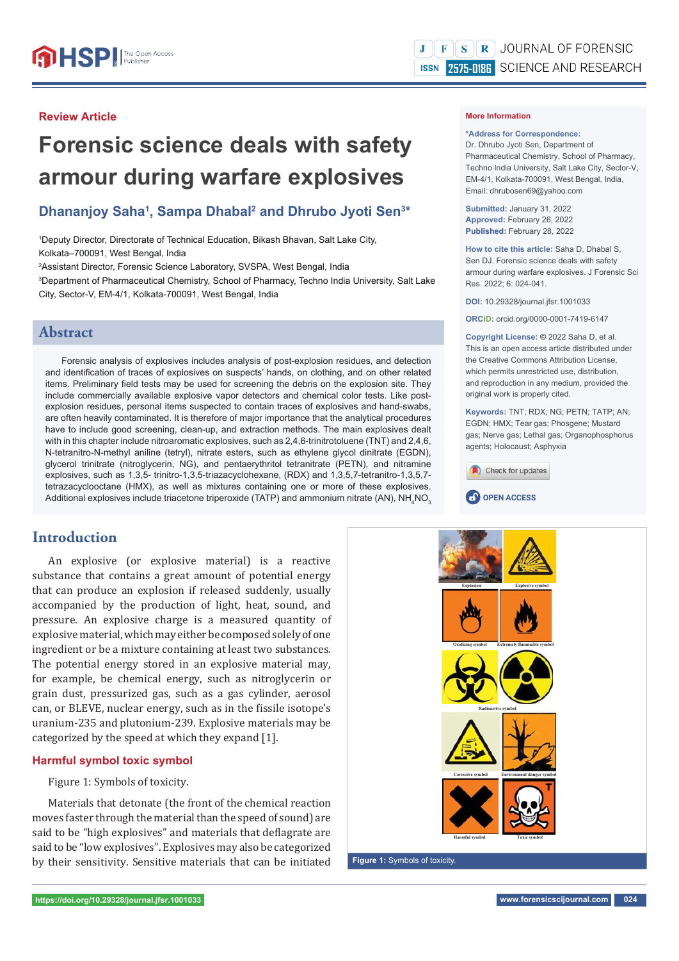### **Review Article**

# **Forensic science deals with safety armour during warfare explosives**

## Dhananjoy Saha<sup>1</sup>, Sampa Dhabal<sup>2</sup> and Dhrubo Jyoti Sen<sup>3\*</sup>

1 Deputy Director, Directorate of Technical Education, Bikash Bhavan, Salt Lake City, Kolkata‒700091, West Bengal, India

2 Assistant Director, Forensic Science Laboratory, SVSPA, West Bengal, India

3 Department of Pharmaceutical Chemistry, School of Pharmacy, Techno India University, Salt Lake City, Sector-V, EM-4/1, Kolkata-700091, West Bengal, India

### **Abstract**

Forensic analysis of explosives includes analysis of post-explosion residues, and detection and identification of traces of explosives on suspects' hands, on clothing, and on other related items. Preliminary field tests may be used for screening the debris on the explosion site. They include commercially available explosive vapor detectors and chemical color tests. Like postexplosion residues, personal items suspected to contain traces of explosives and hand-swabs, are often heavily contaminated. It is therefore of major importance that the analytical procedures have to include good screening, clean-up, and extraction methods. The main explosives dealt with in this chapter include nitroaromatic explosives, such as 2,4,6-trinitrotoluene (TNT) and 2,4,6, N-tetranitro-N-methyl aniline (tetryl), nitrate esters, such as ethylene glycol dinitrate (EGDN), glycerol trinitrate (nitroglycerin, NG), and pentaerythritol tetranitrate (PETN), and nitramine explosives, such as 1,3,5- trinitro-1,3,5-triazacyclohexane, (RDX) and 1,3,5,7-tetranitro-1,3,5,7 tetrazacyclooctane (HMX), as well as mixtures containing one or more of these explosives. Additional explosives include triacetone triperoxide (TATP) and ammonium nitrate (AN), NH<sub>4</sub>NO<sub>3</sub>

### **Introduction**

An explosive (or explosive material) is a reactive substance that contains a great amount of potential energy that can produce an explosion if released suddenly, usually accompanied by the production of light, heat, sound, and pressure. An explosive charge is a measured quantity of explosive material, which may either be composed solely of one ingredient or be a mixture containing at least two substances. The potential energy stored in an explosive material may, for example, be chemical energy, such as nitroglycerin or grain dust, pressurized gas, such as a gas cylinder, aerosol can, or BLEVE, nuclear energy, such as in the fissile isotope's uranium-235 and plutonium-239. Explosive materials may be categorized by the speed at which they expand [1].

### **Harmful symbol toxic symbol**

Figure 1: Symbols of toxicity.

Materials that detonate (the front of the chemical reaction moves faster through the material than the speed of sound) are said to be "high explosives" and materials that deflagrate are said to be "low explosives". Explosives may also be categorized by their sensitivity. Sensitive materials that can be initiated

#### **More Information**

#### **\*Address for Correspondence:**

Dr. Dhrubo Jyoti Sen, Department of Pharmaceutical Chemistry, School of Pharmacy, Techno India University, Salt Lake City, Sector-V, EM-4/1, Kolkata-700091, West Bengal, India, Email: dhrubosen69@yahoo.com

**Submitted:** January 31, 2022 **Approved:** February 26, 2022 **Published:** February 28, 2022

**How to cite this article:** Saha D, Dhabal S, Sen DJ. Forensic science deals with safety armour during warfare explosives. J Forensic Sci Res. 2022; 6: 024-041.

**DOI:** 10.29328/journal.jfsr.1001033

**ORCiD:** orcid.org/0000-0001-7419-6147

**Copyright License: ©** 2022 Saha D, et al. This is an open access article distributed under the Creative Commons Attribution License, which permits unrestricted use, distribution and reproduction in any medium, provided the original work is properly cited.

**Keywords:** TNT; RDX; NG; PETN; TATP; AN; EGDN; HMX; Tear gas; Phosgene; Mustard gas; Nerve gas; Lethal gas; Organophosphorus agents; Holocaust; Asphyxia







**Figure 1:** Symbols of toxicity.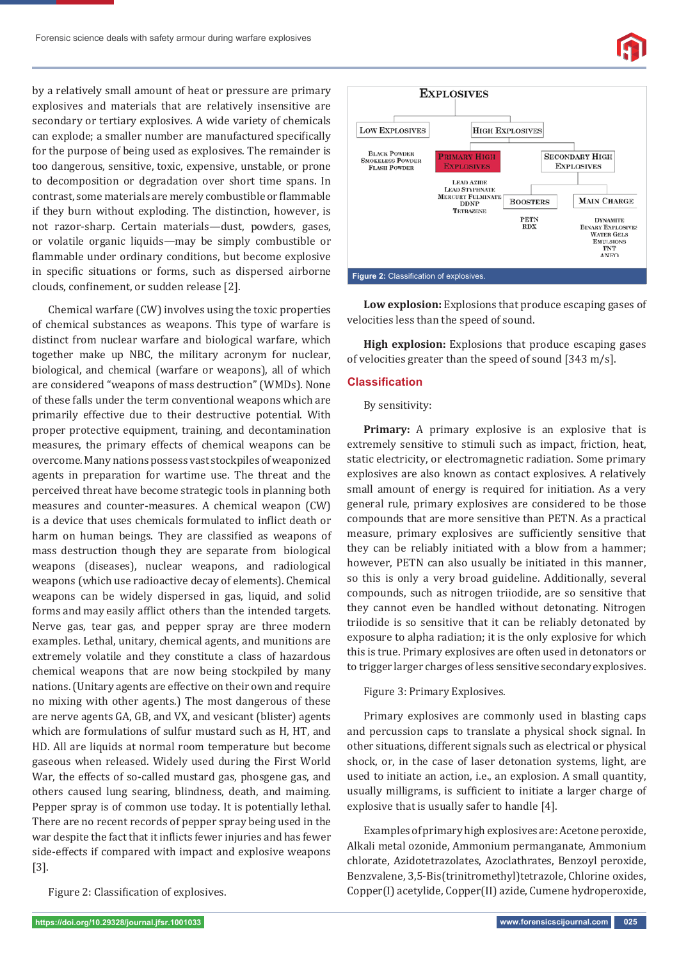

by a relatively small amount of heat or pressure are primary explosives and materials that are relatively insensitive are secondary or tertiary explosives. A wide variety of chemicals can explode; a smaller number are manufactured specifically for the purpose of being used as explosives. The remainder is too dangerous, sensitive, toxic, expensive, unstable, or prone to decomposition or degradation over short time spans. In contrast, some materials are merely combustible or flammable if they burn without exploding. The distinction, however, is not razor-sharp. Certain materials—dust, powders, gases, or volatile organic liquids—may be simply combustible or flammable under ordinary conditions, but become explosive in specific situations or forms, such as dispersed airborne clouds, confinement, or sudden release [2].

Chemical warfare (CW) involves using the toxic properties of chemical substances as weapons. This type of warfare is distinct from nuclear warfare and biological warfare, which together make up NBC, the military acronym for nuclear, biological, and chemical (warfare or weapons), all of which are considered "weapons of mass destruction" (WMDs). None of these falls under the term conventional weapons which are primarily effective due to their destructive potential. With proper protective equipment, training, and decontamination measures, the primary effects of chemical weapons can be overcome. Many nations possess vast stockpiles of weaponized agents in preparation for wartime use. The threat and the perceived threat have become strategic tools in planning both measures and counter-measures. A chemical weapon (CW) is a device that uses chemicals formulated to inflict death or harm on human beings. They are classified as weapons of mass destruction though they are separate from biological weapons (diseases), nuclear weapons, and radiological weapons (which use radioactive decay of elements). Chemical weapons can be widely dispersed in gas, liquid, and solid forms and may easily afflict others than the intended targets. Nerve gas, tear gas, and pepper spray are three modern examples. Lethal, unitary, chemical agents, and munitions are extremely volatile and they constitute a class of hazardous chemical weapons that are now being stockpiled by many nations. (Unitary agents are effective on their own and require no mixing with other agents.) The most dangerous of these are nerve agents GA, GB, and VX, and vesicant (blister) agents which are formulations of sulfur mustard such as H, HT, and HD. All are liquids at normal room temperature but become gaseous when released. Widely used during the First World War, the effects of so-called mustard gas, phosgene gas, and others caused lung searing, blindness, death, and maiming. Pepper spray is of common use today. It is potentially lethal. There are no recent records of pepper spray being used in the war despite the fact that it inflicts fewer injuries and has fewer side-effects if compared with impact and explosive weapons [3].

Figure 2: Classification of explosives.



**Low explosion:** Explosions that produce escaping gases of velocities less than the speed of sound.

**High explosion:** Explosions that produce escaping gases of velocities greater than the speed of sound [343 m/s].

### **Classifi cation**

### By sensitivity:

**Primary:** A primary explosive is an explosive that is extremely sensitive to stimuli such as impact, friction, heat, static electricity, or electromagnetic radiation. Some primary explosives are also known as contact explosives. A relatively small amount of energy is required for initiation. As a very general rule, primary explosives are considered to be those compounds that are more sensitive than PETN. As a practical measure, primary explosives are sufficiently sensitive that they can be reliably initiated with a blow from a hammer; however, PETN can also usually be initiated in this manner, so this is only a very broad guideline. Additionally, several compounds, such as nitrogen triiodide, are so sensitive that they cannot even be handled without detonating. Nitrogen triiodide is so sensitive that it can be reliably detonated by exposure to alpha radiation; it is the only explosive for which this is true. Primary explosives are often used in detonators or to trigger larger charges of less sensitive secondary explosives.

Figure 3: Primary Explosives.

Primary explosives are commonly used in blasting caps and percussion caps to translate a physical shock signal. In other situations, different signals such as electrical or physical shock, or, in the case of laser detonation systems, light, are used to initiate an action, i.e., an explosion. A small quantity, usually milligrams, is sufficient to initiate a larger charge of explosive that is usually safer to handle [4].

Examples of primary high explosives are: Acetone peroxide, Alkali metal ozonide, Ammonium permanganate, Ammonium chlorate, Azidotetrazolates, Azoclathrates, Benzoyl peroxide, Benzvalene, 3,5-Bis(trinitromethyl)tetrazole, Chlorine oxides, Copper(I) acetylide, Copper(II) azide, Cumene hydroperoxide,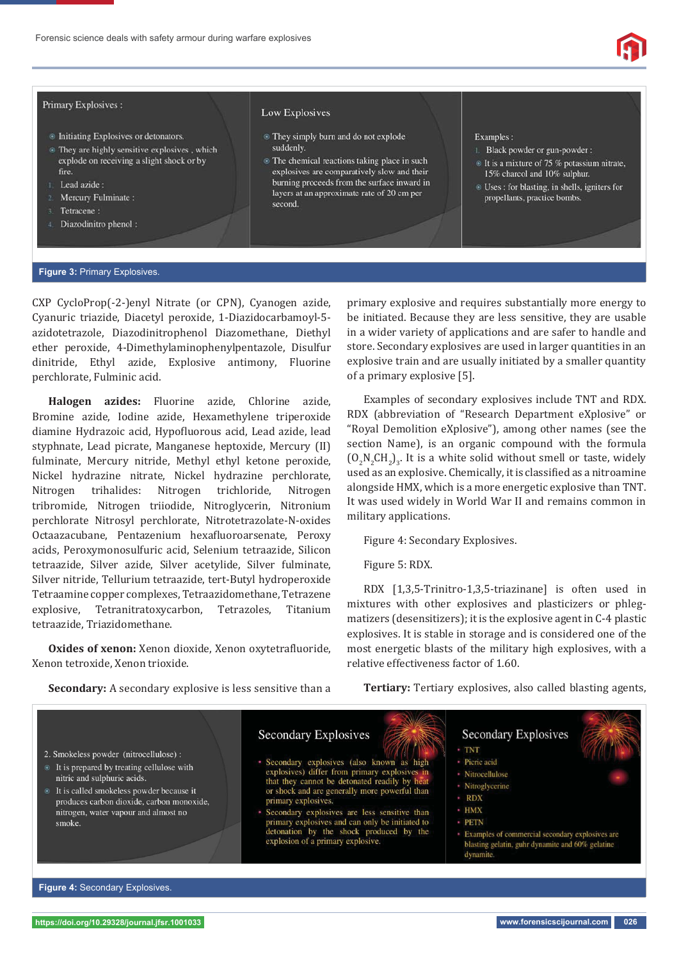

### Primary Explosives:

- **Initiating Explosives or detonators.**
- ⊕ They are highly sensitive explosives, which explode on receiving a slight shock or by fire.
- Lead azide:
- Mercury Fulminate:
- Tetracene:
- Diazodinitro phenol:

#### Low Explosives

- They simply burn and do not explode suddenly
- The chemical reactions taking place in such explosives are comparatively slow and their burning proceeds from the surface inward in layers at an approximate rate of 20 cm per second

#### Examples:

- 1. Black powder or gun-powder :
- $\circ$  It is a mixture of 75 % potassium nitrate, 15% charcol and 10% sulphur.
- <sup>®</sup> Uses : for blasting, in shells, igniters for propellants, practice bombs.

### **Figure 3:** Primary Explosives.

CXP CycloProp(-2-)enyl Nitrate (or CPN), Cyanogen azide, Cyanuric triazide, Diacetyl peroxide, 1-Diazidocarbamoyl-5 azidotetrazole, Diazodinitrophenol Diazomethane, Diethyl ether peroxide, 4-Dimethylaminophenylpentazole, Disulfur dinitride, Ethyl azide, Explosive antimony, Fluorine perchlorate, Fulminic acid.

**Halogen azides:** Fluorine azide, Chlorine azide, Bromine azide, Iodine azide, Hexamethylene triperoxide diamine Hydrazoic acid, Hypofluorous acid, Lead azide, lead styphnate, Lead picrate, Manganese heptoxide, Mercury (II) fulminate, Mercury nitride, Methyl ethyl ketone peroxide, Nickel hydrazine nitrate, Nickel hydrazine perchlorate, Nitrogen trihalides: Nitrogen trichloride, Nitrogen tribromide, Nitrogen triiodide, Nitroglycerin, Nitronium perchlorate Nitrosyl perchlorate, Nitrotetrazolate-N-oxides Octaazacubane, Pentazenium hexafluoroarsenate, Peroxy acids, Peroxymonosulfuric acid, Selenium tetraazide, Silicon tetraazide, Silver azide, Silver acetylide, Silver fulminate, Silver nitride, Tellurium tetraazide, tert-Butyl hydroperoxide Tetraamine copper complexes, Tetraazidomethane, Tetrazene explosive, Tetranitratoxycarbon, Tetrazoles, Titanium tetraazide, Triazidomethane.

**Oxides of xenon:** Xenon dioxide, Xenon oxytetrafluoride, Xenon tetroxide, Xenon trioxide.

**Secondary:** A secondary explosive is less sensitive than a

primary explosive and requires substantially more energy to be initiated. Because they are less sensitive, they are usable in a wider variety of applications and are safer to handle and store. Secondary explosives are used in larger quantities in an explosive train and are usually initiated by a smaller quantity of a primary explosive [5].

Examples of secondary explosives include TNT and RDX. RDX (abbreviation of "Research Department eXplosive" or "Royal Demolition eXplosive"), among other names (see the section Name), is an organic compound with the formula  $(O_2N_2CH_2)_3$ . It is a white solid without smell or taste, widely used as an explosive. Chemically, it is classified as a nitroamine alongside HMX, which is a more energetic explosive than TNT. It was used widely in World War II and remains common in military applications.

Figure 4: Secondary Explosives.

Figure 5: RDX.

**Secondary Explosives** 

primary explosives.

Secondary explosives (also known as high

or shock and are generally more powerful than

Secondary explosives are less sensitive than

primary explosives and can only be initiated to

detonation by the shock produced by the

explosion of a primary explosive.

explosives) differ from primary explosives<br>that they cannot be detonated readily by h

RDX [1,3,5-Trinitro-1,3,5-triazinane] is often used in mixtures with other explosives and plasticizers or phlegmatizers (desensitizers); it is the explosive agent in C-4 plastic explosives. It is stable in storage and is considered one of the most energetic blasts of the military high explosives, with a relative effectiveness factor of 1.60.

**Tertiary:** Tertiary explosives, also called blasting agents,

**Secondary Explosives** 

- · TNT
- · Picric acid
- · Nitrocellulose
- Nitroglycerine
- $\cdot$  RDX
- · HMX
- · PETN
- Examples of commercial secondary explosives are blasting gelatin, guhr dynamite and 60% gelatine dynamite.

**Figure 4:** Secondary Explosives.

2. Smokeless powder (nitrocellulose):

nitric and sulphuric acids

smoke.

● It is prepared by treating cellulose with

<sup>●</sup> It is called smokeless powder because it

nitrogen, water vapour and almost no

produces carbon dioxide, carbon monoxide,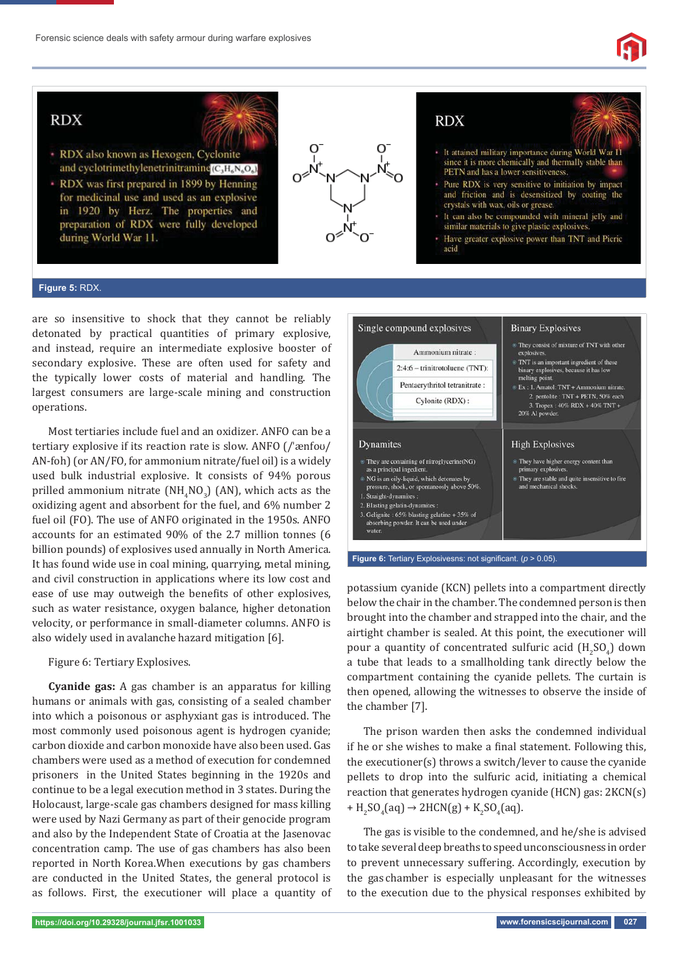

# **RDX**



- RDX also known as Hexogen, Cyclonite and cyclotrimethylenetrinitramine(C<sub>3</sub>H<sub>6</sub>N<sub>6</sub>O<sub>6</sub>)
- RDX was first prepared in 1899 by Henning for medicinal use and used as an explosive in 1920 by Herz. The properties and preparation of RDX were fully developed during World War 11.



# **RDX**

- · It attained military importance during World War II since it is more chemically and thermally stable than PETN and has a lower sensitiveness
- · Pure RDX is very sensitive to initiation by impact and friction and is desensitized by coating the crystals with wax, oils or grease.
- It can also be compounded with mineral jelly and similar materials to give plastic explosives.
- · Have greater explosive power than TNT and Picric
- acid

### **Figure 5:** RDX.

are so insensitive to shock that they cannot be reliably detonated by practical quantities of primary explosive, and instead, require an intermediate explosive booster of secondary explosive. These are often used for safety and the typically lower costs of material and handling. The largest consumers are large-scale mining and construction operations.

Most tertiaries include fuel and an oxidizer. ANFO can be a tertiary explosive if its reaction rate is slow. ANFO (/ˈænfoʊ/ AN-foh) (or AN/FO, for ammonium nitrate/fuel oil) is a widely used bulk industrial explosive. It consists of 94% porous prilled ammonium nitrate  $(NH_4NO_3)$  (AN), which acts as the oxidizing agent and absorbent for the fuel, and 6% number 2 fuel oil (FO). The use of ANFO originated in the 1950s. ANFO accounts for an estimated 90% of the 2.7 million tonnes (6 billion pounds) of explosives used annually in North America. It has found wide use in coal mining, quarrying, metal mining, and civil construction in applications where its low cost and ease of use may outweigh the benefits of other explosives, such as water resistance, oxygen balance, higher detonation velocity, or performance in small-diameter columns. ANFO is also widely used in avalanche hazard mitigation [6].

Figure 6: Tertiary Explosives.

**Cyanide gas:** A gas chamber is an apparatus for killing humans or animals with gas, consisting of a sealed chamber into which a poisonous or asphyxiant gas is introduced. The most commonly used poisonous agent is hydrogen cyanide; carbon dioxide and carbon monoxide have also been used. Gas chambers were used as a method of execution for condemned prisoners in the United States beginning in the 1920s and continue to be a legal execution method in 3 states. During the Holocaust, large-scale gas chambers designed for mass killing were used by Nazi Germany as part of their genocide program and also by the Independent State of Croatia at the Jasenovac concentration camp. The use of gas chambers has also been reported in North Korea. When executions by gas chambers are conducted in the United States, the general protocol is as follows. First, the executioner will place a quantity of



potassium cyanide (KCN) pellets into a compartment directly below the chair in the chamber. The condemned person is then brought into the chamber and strapped into the chair, and the airtight chamber is sealed. At this point, the executioner will pour a quantity of concentrated sulfuric acid  $(H_2SO_4)$  down a tube that leads to a smallholding tank directly below the compartment containing the cyanide pellets. The curtain is then opened, allowing the witnesses to observe the inside of the chamber [7].

The prison warden then asks the condemned individual if he or she wishes to make a final statement. Following this, the executioner(s) throws a switch/lever to cause the cyanide pellets to drop into the sulfuric acid, initiating a chemical reaction that generates hydrogen cyanide (HCN) gas: 2KCN(s) +  $H_2SO_4(aq)$   $\rightarrow$  2HCN(g) +  $K_2SO_4(aq)$ .

The gas is visible to the condemned, and he/she is advised to take several deep breaths to speed unconsciousness in order to prevent unnecessary suffering. Accordingly, execution by the gas chamber is especially unpleasant for the witnesses to the execution due to the physical responses exhibited by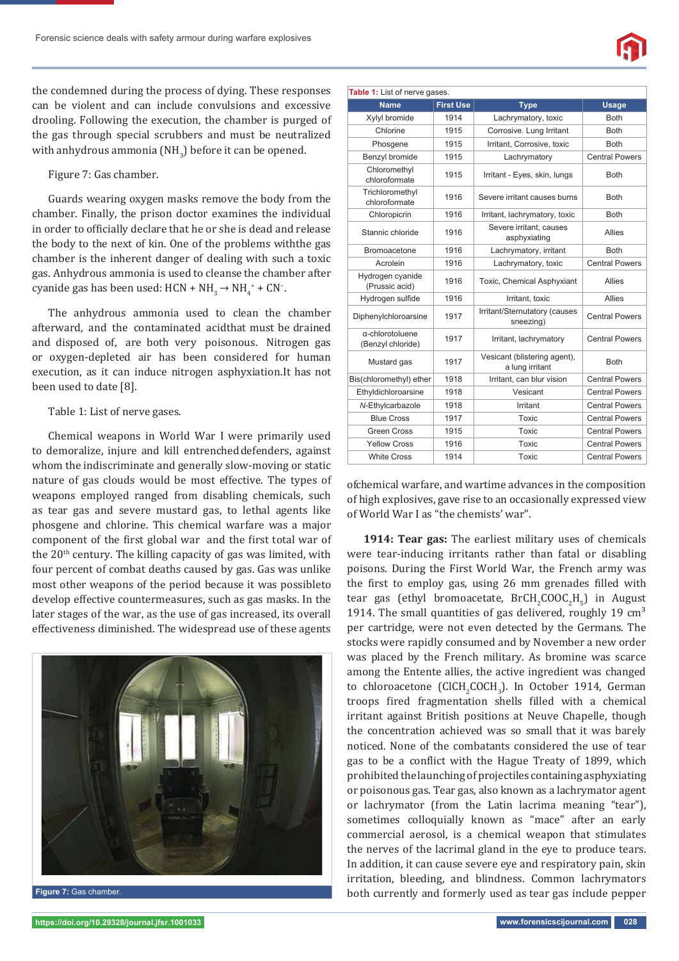the condemned during the process of dying. These responses can be violent and can include convulsions and excessive drooling. Following the execution, the chamber is purged of the gas through special scrubbers and must be neutralized with anhydrous ammonia ( $NH<sub>3</sub>$ ) before it can be opened.

Figure 7: Gas chamber.

Guards wearing oxygen masks remove the body from the chamber. Finally, the prison doctor examines the individual in order to officially declare that he or she is dead and release the body to the next of kin. One of the problems with the gas chamber is the inherent danger of dealing with such a toxic gas. Anhydrous ammonia is used to cleanse the chamber after cyanide gas has been used:  $HCN + NH_3 \rightarrow NH_4^+ + CN^-$ .

The anhydrous ammonia used to clean the chamber afterward, and the contaminated acidthat must be drained and disposed of, are both very poisonous. Nitrogen gas or oxygen-depleted air has been considered for human execution, as it can induce nitrogen asphyxiation. It has not been used to date [8].

### Table 1: List of nerve gases.

Chemical weapons in World War I were primarily used to demoralize, injure and kill entrenched defenders, against whom the indiscriminate and generally slow-moving or static nature of gas clouds would be most effective. The types of weapons employed ranged from disabling chemicals, such as tear gas and severe mustard gas, to lethal agents like phosgene and chlorine. This chemical warfare was a major component of the first global war and the first total war of the 20<sup>th</sup> century. The killing capacity of gas was limited, with four percent of combat deaths caused by gas. Gas was unlike most other weapons of the period because it was possible to develop effective countermeasures, such as gas masks. In the later stages of the war, as the use of gas increased, its overall effectiveness diminished. The widespread use of these agents



**Figure 7:** Gas chamber.

| Table 1: List of nerve gases.        |                  |                                                 |                       |
|--------------------------------------|------------------|-------------------------------------------------|-----------------------|
| <b>Name</b>                          | <b>First Use</b> | <b>Type</b>                                     | <b>Usage</b>          |
| Xylyl bromide                        | 1914             | Lachrymatory, toxic                             | <b>Both</b>           |
| Chlorine                             | 1915             | Corrosive. Lung Irritant                        | <b>Both</b>           |
| Phosgene                             | 1915             | Irritant, Corrosive, toxic                      | <b>Both</b>           |
| Benzyl bromide                       | 1915             | Lachrymatory                                    | <b>Central Powers</b> |
| Chloromethyl<br>chloroformate        | 1915             | Irritant - Eyes, skin, lungs                    | <b>Both</b>           |
| Trichloromethyl<br>chloroformate     | 1916             | Severe irritant causes burns                    | <b>Both</b>           |
| Chloropicrin                         | 1916             | Irritant, lachrymatory, toxic                   | <b>Both</b>           |
| Stannic chloride                     | 1916             | Severe irritant, causes<br>asphyxiating         | Allies                |
| <b>Bromoacetone</b>                  | 1916             | Lachrymatory, irritant                          | <b>Both</b>           |
| Acrolein                             | 1916             | Lachrymatory, toxic                             | <b>Central Powers</b> |
| Hydrogen cyanide<br>(Prussic acid)   | 1916             | Toxic, Chemical Asphyxiant                      | Allies                |
| Hydrogen sulfide                     | 1916             | Irritant, toxic                                 | Allies                |
| Diphenylchloroarsine                 | 1917             | Irritant/Sternutatory (causes<br>sneezing)      | <b>Central Powers</b> |
| a-chlorotoluene<br>(Benzyl chloride) | 1917             | Irritant, lachrymatory                          | <b>Central Powers</b> |
| Mustard gas                          | 1917             | Vesicant (blistering agent),<br>a lung irritant | <b>Both</b>           |
| Bis(chloromethyl) ether              | 1918             | Irritant, can blur vision                       | <b>Central Powers</b> |
| Ethyldichloroarsine                  | 1918             | Vesicant                                        | <b>Central Powers</b> |
| N-Ethylcarbazole                     | 1918             | Irritant                                        | <b>Central Powers</b> |
| <b>Blue Cross</b>                    | 1917             | Toxic                                           | <b>Central Powers</b> |
| <b>Green Cross</b>                   | 1915             | Toxic                                           | <b>Central Powers</b> |
| <b>Yellow Cross</b>                  | 1916             | Toxic                                           | <b>Central Powers</b> |
| <b>White Cross</b>                   | 1914             | Toxic                                           | <b>Central Powers</b> |

of chemical warfare, and wartime advances in the composition of high explosives, gave rise to an occasionally expressed view of World War I as "the chemists' war".

**1914: Tear gas:** The earliest military uses of chemicals were tear-inducing irritants rather than fatal or disabling poisons. During the First World War, the French army was the first to employ gas, using 26 mm grenades filled with tear gas (ethyl bromoacetate,  $BrCH_2COOC_2H_5$ ) in August 1914. The small quantities of gas delivered, roughly 19  $\text{cm}^3$ per cartridge, were not even detected by the Germans. The stocks were rapidly consumed and by November a new order was placed by the French military. As bromine was scarce among the Entente allies, the active ingredient was changed to chloroacetone (ClCH<sub>2</sub>COCH<sub>3</sub>). In October 1914, German troops fired fragmentation shells filled with a chemical irritant against British positions at Neuve Chapelle, though the concentration achieved was so small that it was barely noticed. None of the combatants considered the use of tear gas to be a conflict with the Hague Treaty of 1899, which prohibited the launching of projectiles containing asphyxiating or poisonous gas. Tear gas, also known as a lachrymator agent or lachrymator (from the Latin lacrima meaning "tear"), sometimes colloquially known as "mace" after an early commercial aerosol, is a chemical weapon that stimulates the nerves of the lacrimal gland in the eye to produce tears. In addition, it can cause severe eye and respiratory pain, skin irritation, bleeding, and blindness. Common lachrymators both currently and formerly used as tear gas include pepper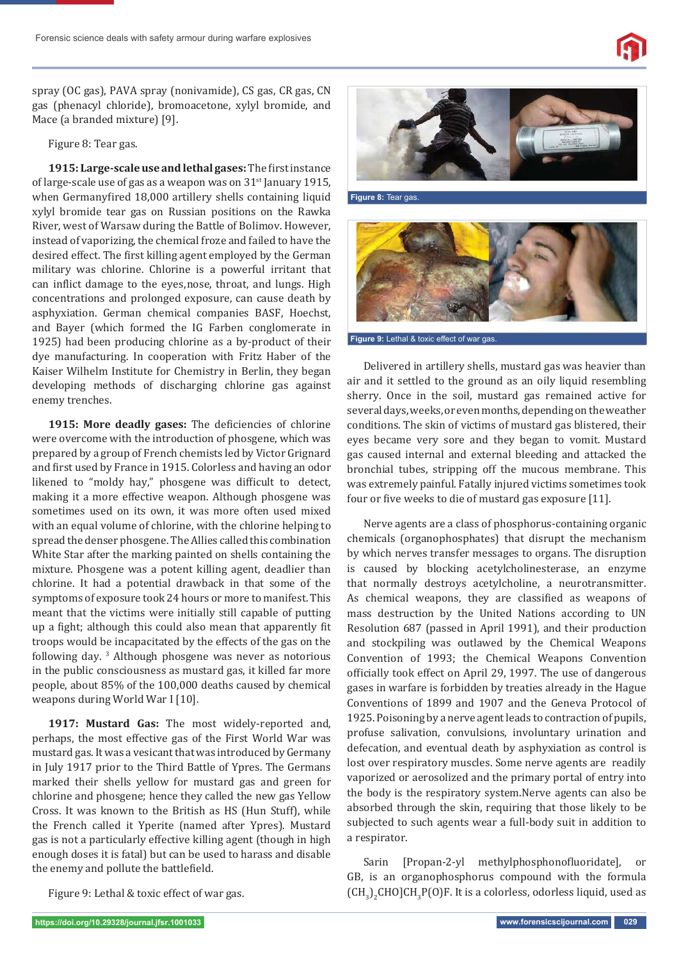

spray (OC gas), PAVA spray (nonivamide), CS gas, CR gas, CN gas (phenacyl chloride), bromoacetone, xylyl bromide, and Mace (a branded mixture) [9].

Figure 8: Tear gas.

1915: Large-scale use and lethal gases: The first instance of large-scale use of gas as a weapon was on  $31<sup>st</sup>$  January 1915, when Germany fired 18,000 artillery shells containing liquid xylyl bromide tear gas on Russian positions on the Rawka River, west of Warsaw during the Battle of Bolimov. However, instead of vaporizing, the chemical froze and failed to have the desired effect. The first killing agent employed by the German military was chlorine. Chlorine is a powerful irritant that can inflict damage to the eyes, nose, throat, and lungs. High concentrations and prolonged exposure, can cause death by asphyxiation. German chemical companies BASF, Hoechst, and Bayer (which formed the IG Farben conglomerate in 1925) had been producing chlorine as a by-product of their dye manufacturing. In cooperation with Fritz Haber of the Kaiser Wilhelm Institute for Chemistry in Berlin, they began developing methods of discharging chlorine gas against enemy trenches.

1915: More deadly gases: The deficiencies of chlorine were overcome with the introduction of phosgene, which was prepared by a group of French chemists led by Victor Grignard and first used by France in 1915. Colorless and having an odor likened to "moldy hay," phosgene was difficult to detect, making it a more effective weapon. Although phosgene was sometimes used on its own, it was more often used mixed with an equal volume of chlorine, with the chlorine helping to spread the denser phosgene. The Allies called this combination White Star after the marking painted on shells containing the mixture. Phosgene was a potent killing agent, deadlier than chlorine. It had a potential drawback in that some of the symptoms of exposure took 24 hours or more to manifest. This meant that the victims were initially still capable of putting up a fight; although this could also mean that apparently fit troops would be incapacitated by the effects of the gas on the following day. 3 Although phosgene was never as notorious in the public consciousness as mustard gas, it killed far more people, about 85% of the 100,000 deaths caused by chemical weapons during World War I [10].

**1917: Mustard Gas:** The most widely-reported and, perhaps, the most effective gas of the First World War was mustard gas. It was a vesicant that was introduced by Germany in July 1917 prior to the Third Battle of Ypres. The Germans marked their shells yellow for mustard gas and green for chlorine and phosgene; hence they called the new gas Yellow Cross. It was known to the British as HS (Hun Stuff), while the French called it Yperite (named after Ypres). Mustard gas is not a particularly effective killing agent (though in high enough doses it is fatal) but can be used to harass and disable the enemy and pollute the battlefield.

**Figure 8:** Tear gas.



Delivered in artillery shells, mustard gas was heavier than air and it settled to the ground as an oily liquid resembling sherry. Once in the soil, mustard gas remained active for several days, weeks, or even months, depending on the weather conditions. The skin of victims of mustard gas blistered, their eyes became very sore and they began to vomit. Mustard gas caused internal and external bleeding and attacked the bronchial tubes, stripping off the mucous membrane. This

was extremely painful. Fatally injured victims sometimes took

four or five weeks to die of mustard gas exposure [11].

Nerve agents are a class of phosphorus-containing organic chemicals (organophosphates) that disrupt the mechanism by which nerves transfer messages to organs. The disruption is caused by blocking acetylcholinesterase, an enzyme that normally destroys acetylcholine, a neurotransmitter. As chemical weapons, they are classified as weapons of mass destruction by the United Nations according to UN Resolution 687 (passed in April 1991), and their production and stockpiling was outlawed by the Chemical Weapons Convention of 1993; the Chemical Weapons Convention officially took effect on April 29, 1997. The use of dangerous gases in warfare is forbidden by treaties already in the Hague Conventions of 1899 and 1907 and the Geneva Protocol of 1925. Poisoning by a nerve agent leads to contraction of pupils, profuse salivation, convulsions, involuntary urination and defecation, and eventual death by asphyxiation as control is lost over respiratory muscles. Some nerve agents are readily vaporized or aerosolized and the primary portal of entry into the body is the respiratory system. Nerve agents can also be absorbed through the skin, requiring that those likely to be subjected to such agents wear a full-body suit in addition to a respirator.

Sarin [Propan-2-yl methylphosphonofluoridate], or GB, is an organophosphorus compound with the formula  $\text{(CH}_3\text{)}_2\text{CHO}$  CH<sub>3</sub>P(O)F. It is a colorless, odorless liquid, used as

Figure 9: Lethal & toxic effect of war gas.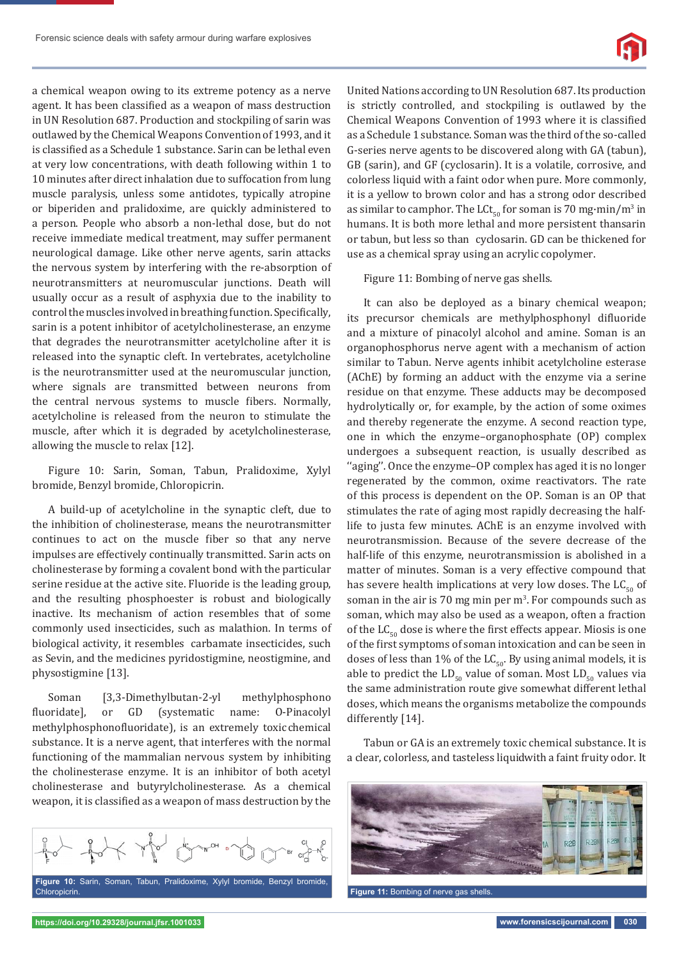

a chemical weapon owing to its extreme potency as a nerve agent. It has been classified as a weapon of mass destruction in UN Resolution 687. Production and stockpiling of sarin was outlawed by the Chemical Weapons Convention of 1993, and it is classified as a Schedule 1 substance. Sarin can be lethal even at very low concentrations, with death following within 1 to 10 minutes after direct inhalation due to suffocation from lung muscle paralysis, unless some antidotes, typically atropine or biperiden and pralidoxime, are quickly administered to a person. People who absorb a non-lethal dose, but do not receive immediate medical treatment, may suffer permanent neurological damage. Like other nerve agents, sarin attacks the nervous system by interfering with the re-absorption of neurotransmitters at neuromuscular junctions. Death will usually occur as a result of asphyxia due to the inability to control the muscles involved in breathing function. Specifically, sarin is a potent inhibitor of acetylcholinesterase, an enzyme that degrades the neurotransmitter acetylcholine after it is released into the synaptic cleft. In vertebrates, acetylcholine is the neurotransmitter used at the neuromuscular junction, where signals are transmitted between neurons from the central nervous systems to muscle fibers. Normally, acetylcholine is released from the neuron to stimulate the muscle, after which it is degraded by acetylcholinesterase, allowing the muscle to relax [12].

Figure 10: Sarin, Soman, Tabun, Pralidoxime, Xylyl bromide, Benzyl bromide, Chloropicrin.

A build-up of acetylcholine in the synaptic cleft, due to the inhibition of cholinesterase, means the neurotransmitter continues to act on the muscle fiber so that any nerve impulses are effectively continually transmitted. Sarin acts on cholinesterase by forming a covalent bond with the particular serine residue at the active site. Fluoride is the leading group, and the resulting phosphoester is robust and biologically inactive. Its mechanism of action resembles that of some commonly used insecticides, such as malathion. In terms of biological activity, it resembles carbamate insecticides, such as Sevin, and the medicines pyridostigmine, neostigmine, and physostigmine [13].

Soman [3,3-Dimethylbutan-2-yl methylphosphono fluoridate], or GD (systematic name: 0-Pinacolyl methylphosphonofluoridate), is an extremely toxic chemical substance. It is a nerve agent, that interferes with the normal functioning of the mammalian nervous system by inhibiting the cholinesterase enzyme. It is an inhibitor of both acetyl cholinesterase and butyrylcholinesterase. As a chemical weapon, it is classified as a weapon of mass destruction by the



United Nations according to UN Resolution 687. Its production is strictly controlled, and stockpiling is outlawed by the Chemical Weapons Convention of 1993 where it is classified as a Schedule 1 substance. Soman was the third of the so-called G-series nerve agents to be discovered along with GA (tabun), GB (sarin), and GF (cyclosarin). It is a volatile, corrosive, and colorless liquid with a faint odor when pure. More commonly, it is a yellow to brown color and has a strong odor described as similar to camphor. The  $LCt_{50}$  for soman is 70 mg·min/m<sup>3</sup> in humans. It is both more lethal and more persistent thansarin or tabun, but less so than cyclosarin. GD can be thickened for use as a chemical spray using an acrylic copolymer.

Figure 11: Bombing of nerve gas shells.

It can also be deployed as a binary chemical weapon; its precursor chemicals are methylphosphonyl difluoride and a mixture of pinacolyl alcohol and amine. Soman is an organophosphorus nerve agent with a mechanism of action similar to Tabun. Nerve agents inhibit acetylcholine esterase (AChE) by forming an adduct with the enzyme via a serine residue on that enzyme. These adducts may be decomposed hydrolytically or, for example, by the action of some oximes and thereby regenerate the enzyme. A second reaction type, one in which the enzyme–organophosphate (OP) complex undergoes a subsequent reaction, is usually described as "aging". Once the enzyme-OP complex has aged it is no longer regenerated by the common, oxime reactivators. The rate of this process is dependent on the OP. Soman is an OP that stimulates the rate of aging most rapidly decreasing the halflife to justa few minutes. AChE is an enzyme involved with neurotransmission. Because of the severe decrease of the half-life of this enzyme, neurotransmission is abolished in a matter of minutes. Soman is a very effective compound that has severe health implications at very low doses. The  $LC_{50}$  of soman in the air is 70 mg min per  $m<sup>3</sup>$ . For compounds such as soman, which may also be used as a weapon, often a fraction of the  $LC_{50}$  dose is where the first effects appear. Miosis is one of the first symptoms of soman intoxication and can be seen in doses of less than 1% of the  $LC_{50}$ . By using animal models, it is able to predict the  $LD_{50}$  value of soman. Most  $LD_{50}$  values via the same administration route give somewhat different lethal doses, which means the organisms metabolize the compounds differently [14].

Tabun or GA is an extremely toxic chemical substance. It is a clear, colorless, and tasteless liquid with a faint fruity odor. It

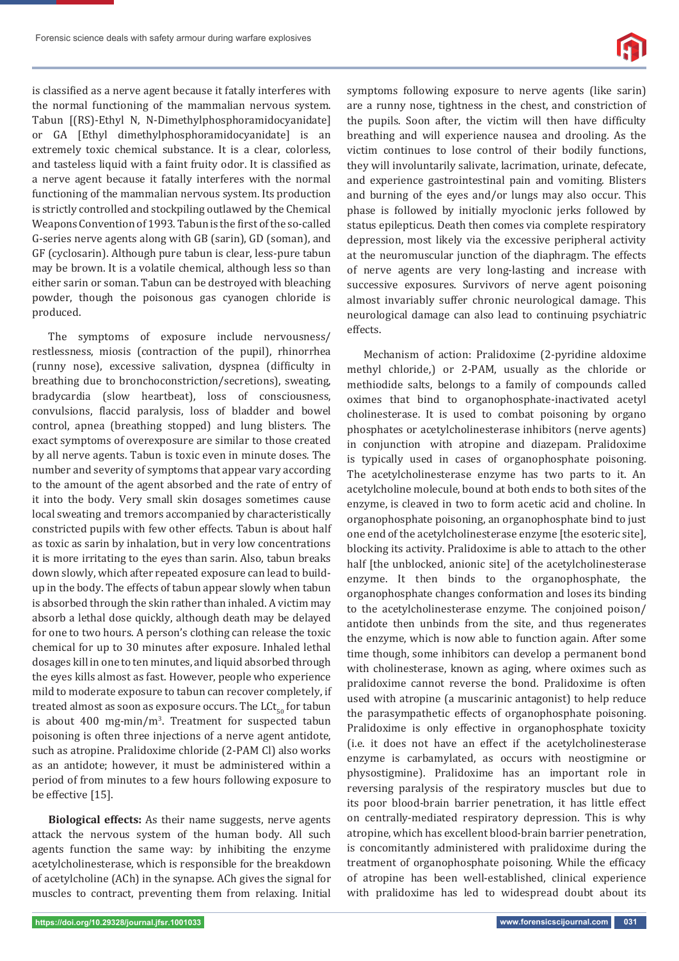

is classified as a nerve agent because it fatally interferes with the normal functioning of the mammalian nervous system. Tabun [(RS)-Ethyl N, N-Dimethylphosphoramidocyanidate] or GA [Ethyl dimethylphosphoramidocyanidate] is an extremely toxic chemical substance. It is a clear, colorless, and tasteless liquid with a faint fruity odor. It is classified as a nerve agent because it fatally interferes with the normal functioning of the mammalian nervous system. Its production is strictly controlled and stockpiling outlawed by the Chemical Weapons Convention of 1993. Tabun is the first of the so-called G-series nerve agents along with GB (sarin), GD (soman), and GF (cyclosarin). Although pure tabun is clear, less-pure tabun may be brown. It is a volatile chemical, although less so than either sarin or soman. Tabun can be destroyed with bleaching powder, though the poisonous gas cyanogen chloride is produced.

The symptoms of exposure include nervousness/ restlessness, miosis (contraction of the pupil), rhinorrhea (runny nose), excessive salivation, dyspnea (difficulty in breathing due to bronchoconstriction/secretions), sweating, bradycardia (slow heartbeat), loss of consciousness, convulsions, flaccid paralysis, loss of bladder and bowel control, apnea (breathing stopped) and lung blisters. The exact symptoms of overexposure are similar to those created by all nerve agents. Tabun is toxic even in minute doses. The number and severity of symptoms that appear vary according to the amount of the agent absorbed and the rate of entry of it into the body. Very small skin dosages sometimes cause local sweating and tremors accompanied by characteristically constricted pupils with few other effects. Tabun is about half as toxic as sarin by inhalation, but in very low concentrations it is more irritating to the eyes than sarin. Also, tabun breaks down slowly, which after repeated exposure can lead to buildup in the body. The effects of tabun appear slowly when tabun is absorbed through the skin rather than inhaled. A victim may absorb a lethal dose quickly, although death may be delayed for one to two hours. A person's clothing can release the toxic chemical for up to 30 minutes after exposure. Inhaled lethal dosages kill in one to ten minutes, and liquid absorbed through the eyes kills almost as fast. However, people who experience mild to moderate exposure to tabun can recover completely, if treated almost as soon as exposure occurs. The  $LCL_{0}$  for tabun is about 400 mg-min/ $m<sup>3</sup>$ . Treatment for suspected tabun poisoning is often three injections of a nerve agent antidote, such as atropine. Pralidoxime chloride (2-PAM Cl) also works as an antidote; however, it must be administered within a period of from minutes to a few hours following exposure to be effective [15].

**Biological effects:** As their name suggests, nerve agents attack the nervous system of the human body. All such agents function the same way: by inhibiting the enzyme acetylcholinesterase, which is responsible for the breakdown of acetylcholine (ACh) in the synapse. ACh gives the signal for muscles to contract, preventing them from relaxing. Initial

symptoms following exposure to nerve agents (like sarin) are a runny nose, tightness in the chest, and constriction of the pupils. Soon after, the victim will then have difficulty breathing and will experience nausea and drooling. As the victim continues to lose control of their bodily functions, they will involuntarily salivate, lacrimation, urinate, defecate, and experience gastrointestinal pain and vomiting. Blisters and burning of the eyes and/or lungs may also occur. This phase is followed by initially myoclonic jerks followed by status epilepticus. Death then comes via complete respiratory depression, most likely via the excessive peripheral activity at the neuromuscular junction of the diaphragm. The effects of nerve agents are very long-lasting and increase with successive exposures. Survivors of nerve agent poisoning almost invariably suffer chronic neurological damage. This neurological damage can also lead to continuing psychiatric effects.

Mechanism of action: Pralidoxime (2-pyridine aldoxime methyl chloride,) or 2-PAM, usually as the chloride or methiodide salts, belongs to a family of compounds called oximes that bind to organophosphate-inactivated acetyl cholinesterase. It is used to combat poisoning by organo phosphates or acetylcholinesterase inhibitors (nerve agents) in conjunction with atropine and diazepam. Pralidoxime is typically used in cases of organophosphate poisoning. The acetylcholinesterase enzyme has two parts to it. An acetylcholine molecule, bound at both ends to both sites of the enzyme, is cleaved in two to form acetic acid and choline. In organophosphate poisoning, an organophosphate bind to just one end of the acetylcholinesterase enzyme [the esoteric site], blocking its activity. Pralidoxime is able to attach to the other half [the unblocked, anionic site] of the acetylcholinesterase enzyme. It then binds to the organophosphate, the organophosphate changes conformation and loses its binding to the acetylcholinesterase enzyme. The conjoined poison/ antidote then unbinds from the site, and thus regenerates the enzyme, which is now able to function again. After some time though, some inhibitors can develop a permanent bond with cholinesterase, known as aging, where oximes such as pralidoxime cannot reverse the bond. Pralidoxime is often used with atropine (a muscarinic antagonist) to help reduce the parasympathetic effects of organophosphate poisoning. Pralidoxime is only effective in organophosphate toxicity (i.e. it does not have an effect if the acetylcholinesterase enzyme is carbamylated, as occurs with neostigmine or physostigmine). Pralidoxime has an important role in reversing paralysis of the respiratory muscles but due to its poor blood-brain barrier penetration, it has little effect on centrally-mediated respiratory depression. This is why atropine, which has excellent blood-brain barrier penetration, is concomitantly administered with pralidoxime during the treatment of organophosphate poisoning. While the efficacy of atropine has been well-established, clinical experience with pralidoxime has led to widespread doubt about its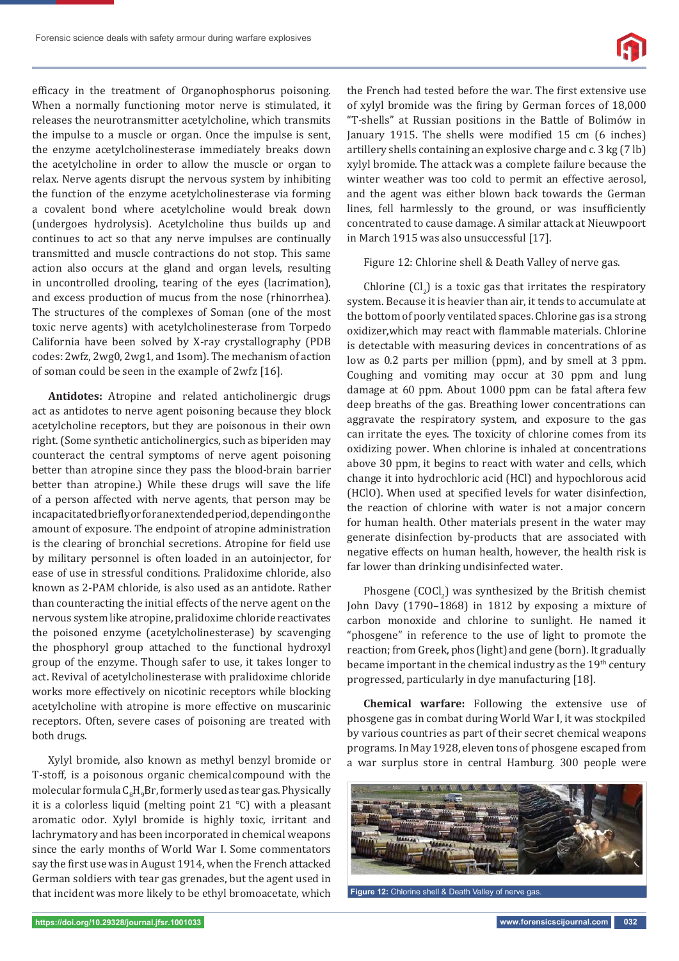efficacy in the treatment of Organophosphorus poisoning. When a normally functioning motor nerve is stimulated, it releases the neurotransmitter acetylcholine, which transmits the impulse to a muscle or organ. Once the impulse is sent, the enzyme acetylcholinesterase immediately breaks down the acetylcholine in order to allow the muscle or organ to relax. Nerve agents disrupt the nervous system by inhibiting the function of the enzyme acetylcholinesterase via forming a covalent bond where acetylcholine would break down (undergoes hydrolysis). Acetylcholine thus builds up and continues to act so that any nerve impulses are continually transmitted and muscle contractions do not stop. This same action also occurs at the gland and organ levels, resulting in uncontrolled drooling, tearing of the eyes (lacrimation), and excess production of mucus from the nose (rhinorrhea). The structures of the complexes of Soman (one of the most toxic nerve agents) with acetylcholinesterase from Torpedo California have been solved by X-ray crystallography (PDB codes: 2wfz, 2wg0, 2wg1, and 1som). The mechanism of action of soman could be seen in the example of 2wfz [16].

**Antidotes:** Atropine and related anticholinergic drugs act as antidotes to nerve agent poisoning because they block acetylcholine receptors, but they are poisonous in their own right. (Some synthetic anticholinergics, such as biperiden may counteract the central symptoms of nerve agent poisoning better than atropine since they pass the blood-brain barrier better than atropine.) While these drugs will save the life of a person affected with nerve agents, that person may be incapacitated briefly or for an extended period, depending on the amount of exposure. The endpoint of atropine administration is the clearing of bronchial secretions. Atropine for field use by military personnel is often loaded in an autoinjector, for ease of use in stressful conditions. Pralidoxime chloride, also known as 2-PAM chloride, is also used as an antidote. Rather than counteracting the initial effects of the nerve agent on the nervous system like atropine, pralidoxime chloride reactivates the poisoned enzyme (acetylcholinesterase) by scavenging the phosphoryl group attached to the functional hydroxyl group of the enzyme. Though safer to use, it takes longer to act. Revival of acetylcholinesterase with pralidoxime chloride works more effectively on nicotinic receptors while blocking acetylcholine with atropine is more effective on muscarinic receptors. Often, severe cases of poisoning are treated with both drugs.

Xylyl bromide, also known as methyl benzyl bromide or T-stoff, is a poisonous organic chemical compound with the molecular formula  $\mathsf{C}_{_{8}}\mathsf{H}_{_{9}}\mathsf{Br}$ , formerly used as tear gas. Physically it is a colorless liquid (melting point 21 °C) with a pleasant aromatic odor. Xylyl bromide is highly toxic, irritant and lachrymatory and has been incorporated in chemical weapons since the early months of World War I. Some commentators say the first use was in August 1914, when the French attacked German soldiers with tear gas grenades, but the agent used in that incident was more likely to be ethyl bromoacetate, which

the French had tested before the war. The first extensive use of xylyl bromide was the firing by German forces of 18,000 "T-shells" at Russian positions in the Battle of Bolimów in January 1915. The shells were modified 15 cm (6 inches) artillery shells containing an explosive charge and c. 3 kg (7 lb) xylyl bromide. The attack was a complete failure because the winter weather was too cold to permit an effective aerosol, and the agent was either blown back towards the German lines, fell harmlessly to the ground, or was insufficiently concentrated to cause damage. A similar attack at Nieuwpoort in March 1915 was also unsuccessful [17].

Figure 12: Chlorine shell & Death Valley of nerve gas.

Chlorine  $(Cl<sub>2</sub>)$  is a toxic gas that irritates the respiratory system. Because it is heavier than air, it tends to accumulate at the bottom of poorly ventilated spaces. Chlorine gas is a strong oxidizer, which may react with flammable materials. Chlorine is detectable with measuring devices in concentrations of as low as 0.2 parts per million (ppm), and by smell at 3 ppm. Coughing and vomiting may occur at 30 ppm and lung damage at 60 ppm. About 1000 ppm can be fatal aftera few deep breaths of the gas. Breathing lower concentrations can aggravate the respiratory system, and exposure to the gas can irritate the eyes. The toxicity of chlorine comes from its oxidizing power. When chlorine is inhaled at concentrations above 30 ppm, it begins to react with water and cells, which change it into hydrochloric acid (HCl) and hypochlorous acid (HClO). When used at specified levels for water disinfection, the reaction of chlorine with water is not a major concern for human health. Other materials present in the water may generate disinfection by-products that are associated with negative effects on human health, however, the health risk is far lower than drinking undisinfected water.

Phosgene  $(COCl<sub>2</sub>)$  was synthesized by the British chemist John Davy (1790–1868) in 1812 by exposing a mixture of carbon monoxide and chlorine to sunlight. He named it "phosgene" in reference to the use of light to promote the reaction; from Greek, phos (light) and gene (born). It gradually became important in the chemical industry as the 19<sup>th</sup> century progressed, particularly in dye manufacturing [18].

**Chemical warfare:** Following the extensive use of phosgene gas in combat during World War I, it was stockpiled by various countries as part of their secret chemical weapons programs. In May 1928, eleven tons of phosgene escaped from a war surplus store in central Hamburg. 300 people were



**Figure 12:** Chlorine shell & Death Valley of nerve gas.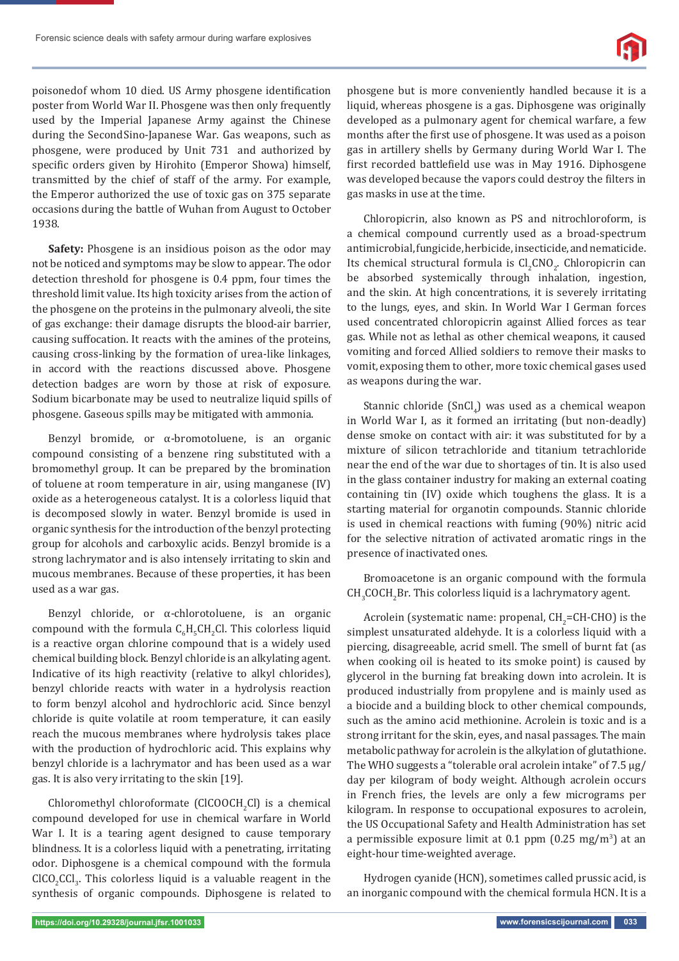

poisoned of whom 10 died. US Army phosgene identification poster from World War II. Phosgene was then only frequently used by the Imperial Japanese Army against the Chinese during the Second Sino-Japanese War. Gas weapons, such as phosgene, were produced by Unit 731 and authorized by specific orders given by Hirohito (Emperor Showa) himself, transmitted by the chief of staff of the army. For example, the Emperor authorized the use of toxic gas on 375 separate occasions during the battle of Wuhan from August to October 1938.

**Safety:** Phosgene is an insidious poison as the odor may not be noticed and symptoms may be slow to appear. The odor detection threshold for phosgene is 0.4 ppm, four times the threshold limit value. Its high toxicity arises from the action of the phosgene on the proteins in the pulmonary alveoli, the site of gas exchange: their damage disrupts the blood-air barrier, causing suffocation. It reacts with the amines of the proteins, causing cross-linking by the formation of urea-like linkages, in accord with the reactions discussed above. Phosgene detection badges are worn by those at risk of exposure. Sodium bicarbonate may be used to neutralize liquid spills of phosgene. Gaseous spills may be mitigated with ammonia.

Benzyl bromide, or α-bromotoluene, is an organic compound consisting of a benzene ring substituted with a bromomethyl group. It can be prepared by the bromination of toluene at room temperature in air, using manganese (IV) oxide as a heterogeneous catalyst. It is a colorless liquid that is decomposed slowly in water. Benzyl bromide is used in organic synthesis for the introduction of the benzyl protecting group for alcohols and carboxylic acids. Benzyl bromide is a strong lachrymator and is also intensely irritating to skin and mucous membranes. Because of these properties, it has been used as a war gas.

Benzyl chloride, or α-chlorotoluene, is an organic compound with the formula  $C_6H_5CH_2CH$ . This colorless liquid is a reactive organ chlorine compound that is a widely used chemical building block. Benzyl chloride is an alkylating agent. Indicative of its high reactivity (relative to alkyl chlorides), benzyl chloride reacts with water in a hydrolysis reaction to form benzyl alcohol and hydrochloric acid. Since benzyl chloride is quite volatile at room temperature, it can easily reach the mucous membranes where hydrolysis takes place with the production of hydrochloric acid. This explains why benzyl chloride is a lachrymator and has been used as a war gas. It is also very irritating to the skin [19].

Chloromethyl chloroformate (ClCOOCH<sub>2</sub>Cl) is a chemical compound developed for use in chemical warfare in World War I. It is a tearing agent designed to cause temporary blindness. It is a colorless liquid with a penetrating, irritating odor. Diphosgene is a chemical compound with the formula  $CICO_2Cl_3$ . This colorless liquid is a valuable reagent in the synthesis of organic compounds. Diphosgene is related to

phosgene but is more conveniently handled because it is a liquid, whereas phosgene is a gas. Diphosgene was originally developed as a pulmonary agent for chemical warfare, a few months after the first use of phosgene. It was used as a poison gas in artillery shells by Germany during World War I. The first recorded battlefield use was in May 1916. Diphosgene was developed because the vapors could destroy the filters in gas masks in use at the time.

Chloropicrin, also known as PS and nitrochloroform, is a chemical compound currently used as a broad-spectrum antimicrobial, fungicide, herbicide, insecticide, and nematicide. Its chemical structural formula is  $\text{Cl}_2 \text{CNO}_2$ . Chloropicrin can be absorbed systemically through inhalation, ingestion, and the skin. At high concentrations, it is severely irritating to the lungs, eyes, and skin. In World War I German forces used concentrated chloropicrin against Allied forces as tear gas. While not as lethal as other chemical weapons, it caused vomiting and forced Allied soldiers to remove their masks to vomit, exposing them to other, more toxic chemical gases used as weapons during the war.

Stannic chloride  $(SnCl<sub>4</sub>)$  was used as a chemical weapon in World War I, as it formed an irritating (but non-deadly) dense smoke on contact with air: it was substituted for by a mixture of silicon tetrachloride and titanium tetrachloride near the end of the war due to shortages of tin. It is also used in the glass container industry for making an external coating containing tin (IV) oxide which toughens the glass. It is a starting material for organotin compounds. Stannic chloride is used in chemical reactions with fuming (90%) nitric acid for the selective nitration of activated aromatic rings in the presence of inactivated ones.

Bromoacetone is an organic compound with the formula  $CH<sub>3</sub>COCH<sub>2</sub>Br.$  This colorless liquid is a lachrymatory agent.

Acrolein (systematic name: propenal,  $CH_2=CH-CHO$ ) is the simplest unsaturated aldehyde. It is a colorless liquid with a piercing, disagreeable, acrid smell. The smell of burnt fat (as when cooking oil is heated to its smoke point) is caused by glycerol in the burning fat breaking down into acrolein. It is produced industrially from propylene and is mainly used as a biocide and a building block to other chemical compounds, such as the amino acid methionine. Acrolein is toxic and is a strong irritant for the skin, eyes, and nasal passages. The main metabolic pathway for acrolein is the alkylation of glutathione. The WHO suggests a "tolerable oral acrolein intake" of 7.5 μg/ day per kilogram of body weight. Although acrolein occurs in French fries, the levels are only a few micrograms per kilogram. In response to occupational exposures to acrolein, the US Occupational Safety and Health Administration has set a permissible exposure limit at  $0.1$  ppm  $(0.25 \text{ mg/m}^3)$  at an eight-hour time-weighted average.

Hydrogen cyanide (HCN), sometimes called prussic acid, is an inorganic compound with the chemical formula HCN. It is a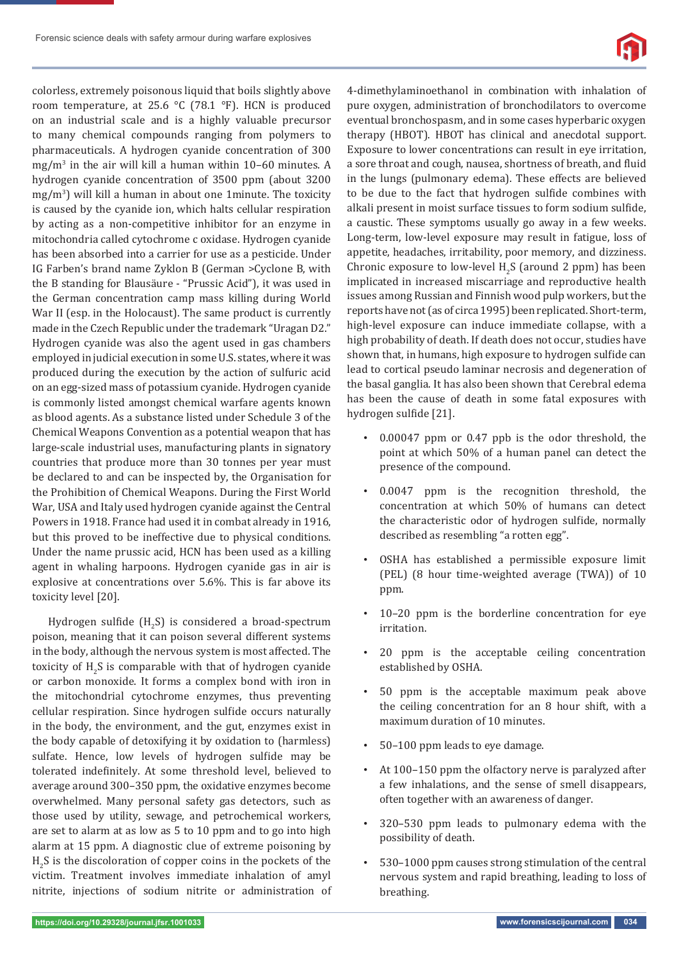

colorless, extremely poisonous liquid that boils slightly above room temperature, at 25.6 °C (78.1 °F). HCN is produced on an industrial scale and is a highly valuable precursor to many chemical compounds ranging from polymers to pharmaceuticals. A hydrogen cyanide concentration of 300  $mg/m<sup>3</sup>$  in the air will kill a human within 10–60 minutes. A hydrogen cyanide concentration of 3500 ppm (about 3200 mg/m3 ) will kill a human in about one 1minute. The toxicity is caused by the cyanide ion, which halts cellular respiration by acting as a non-competitive inhibitor for an enzyme in mitochondria called cytochrome c oxidase. Hydrogen cyanide has been absorbed into a carrier for use as a pesticide. Under IG Farben's brand name Zyklon B (German >Cyclone B, with the B standing for Blausäure - "Prussic Acid"), it was used in the German concentration camp mass killing during World War II (esp. in the Holocaust). The same product is currently made in the Czech Republic under the trademark "Uragan D2." Hydrogen cyanide was also the agent used in gas chambers employed in judicial execution in some U.S. states, where it was produced during the execution by the action of sulfuric acid on an egg-sized mass of potassium cyanide. Hydrogen cyanide is commonly listed amongst chemical warfare agents known as blood agents. As a substance listed under Schedule 3 of the Chemical Weapons Convention as a potential weapon that has large-scale industrial uses, manufacturing plants in signatory countries that produce more than 30 tonnes per year must be declared to and can be inspected by, the Organisation for the Prohibition of Chemical Weapons. During the First World War, USA and Italy used hydrogen cyanide against the Central Powers in 1918. France had used it in combat already in 1916, but this proved to be ineffective due to physical conditions. Under the name prussic acid, HCN has been used as a killing agent in whaling harpoons. Hydrogen cyanide gas in air is explosive at concentrations over 5.6%. This is far above its toxicity level [20].

Hydrogen sulfide (H<sub>2</sub>S) is considered a broad-spectrum poison, meaning that it can poison several different systems in the body, although the nervous system is most affected. The toxicity of  $H_2S$  is comparable with that of hydrogen cyanide or carbon monoxide. It forms a complex bond with iron in the mitochondrial cytochrome enzymes, thus preventing cellular respiration. Since hydrogen sulfide occurs naturally in the body, the environment, and the gut, enzymes exist in the body capable of detoxifying it by oxidation to (harmless) sulfate. Hence, low levels of hydrogen sulfide may be tolerated indefinitely. At some threshold level, believed to average around 300–350 ppm, the oxidative enzymes become overwhelmed. Many personal safety gas detectors, such as those used by utility, sewage, and petrochemical workers, are set to alarm at as low as 5 to 10 ppm and to go into high alarm at 15 ppm. A diagnostic clue of extreme poisoning by  $\rm H_2S$  is the discoloration of copper coins in the pockets of the victim. Treatment involves immediate inhalation of amyl nitrite, injections of sodium nitrite or administration of

4-dimethylaminoethanol in combination with inhalation of pure oxygen, administration of bronchodilators to overcome eventual bronchospasm, and in some cases hyperbaric oxygen therapy (HBOT). HBOT has clinical and anecdotal support. Exposure to lower concentrations can result in eye irritation, a sore throat and cough, nausea, shortness of breath, and fluid in the lungs (pulmonary edema). These effects are believed to be due to the fact that hydrogen sulfide combines with alkali present in moist surface tissues to form sodium sulfide, a caustic. These symptoms usually go away in a few weeks. Long-term, low-level exposure may result in fatigue, loss of appetite, headaches, irritability, poor memory, and dizziness. Chronic exposure to low-level  $H_2S$  (around 2 ppm) has been implicated in increased miscarriage and reproductive health issues among Russian and Finnish wood pulp workers, but the reports have not (as of circa 1995) been replicated. Short-term, high-level exposure can induce immediate collapse, with a high probability of death. If death does not occur, studies have shown that, in humans, high exposure to hydrogen sulfide can lead to cortical pseudo laminar necrosis and degeneration of the basal ganglia. It has also been shown that Cerebral edema has been the cause of death in some fatal exposures with hydrogen sulfide [21].

- 0.00047 ppm or 0.47 ppb is the odor threshold, the point at which 50% of a human panel can detect the presence of the compound.
- 0.0047 ppm is the recognition threshold, the concentration at which 50% of humans can detect the characteristic odor of hydrogen sulfide, normally described as resembling "a rotten egg".
- OSHA has established a permissible exposure limit (PEL) (8 hour time-weighted average (TWA)) of 10 ppm.
- 10–20 ppm is the borderline concentration for eye irritation.
- 20 ppm is the acceptable ceiling concentration established by OSHA.
- 50 ppm is the acceptable maximum peak above the ceiling concentration for an 8 hour shift, with a maximum duration of 10 minutes.
- 50–100 ppm leads to eye damage.
- At 100–150 ppm the olfactory nerve is paralyzed after a few inhalations, and the sense of smell disappears, often together with an awareness of danger.
- 320–530 ppm leads to pulmonary edema with the possibility of death.
- 530–1000 ppm causes strong stimulation of the central nervous system and rapid breathing, leading to loss of breathing.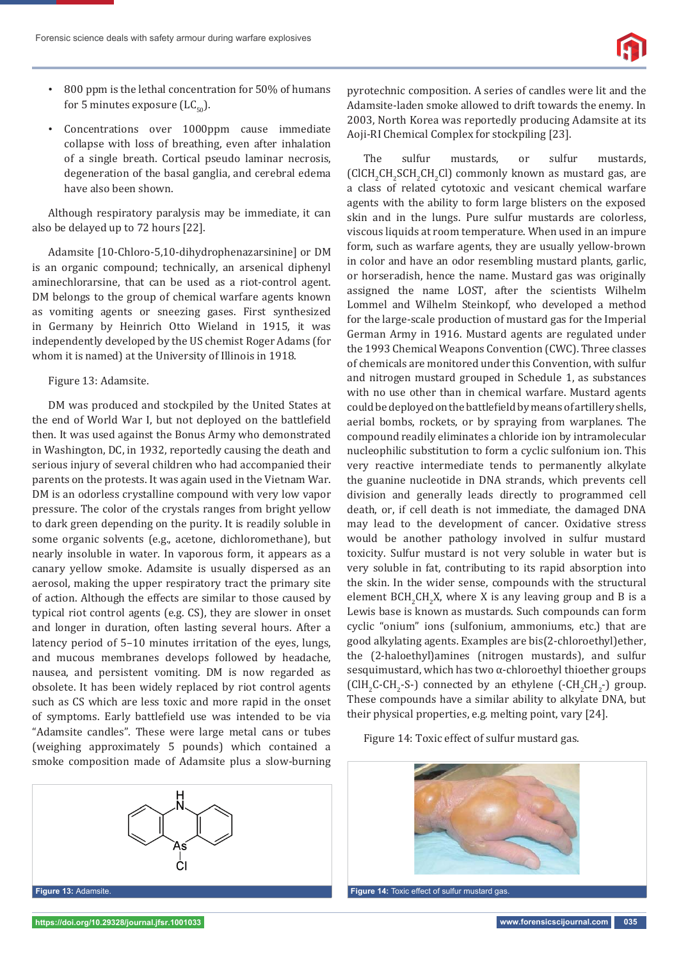- 800 ppm is the lethal concentration for 50% of humans for 5 minutes exposure  $(LC_{50})$ .
- Concentrations over 1000ppm cause immediate collapse with loss of breathing, even after inhalation of a single breath. Cortical pseudo laminar necrosis, degeneration of the basal ganglia, and cerebral edema have also been shown.

Although respiratory paralysis may be immediate, it can also be delayed up to 72 hours [22].

Adamsite [10-Chloro-5,10-dihydrophenazarsinine] or DM is an organic compound; technically, an arsenical diphenyl aminechlorarsine, that can be used as a riot-control agent. DM belongs to the group of chemical warfare agents known as vomiting agents or sneezing gases. First synthesized in Germany by Heinrich Otto Wieland in 1915, it was independently developed by the US chemist Roger Adams (for whom it is named) at the University of Illinois in 1918.

### Figure 13: Adamsite.

DM was produced and stockpiled by the United States at the end of World War I, but not deployed on the battlefield then. It was used against the Bonus Army who demonstrated in Washington, DC, in 1932, reportedly causing the death and serious injury of several children who had accompanied their parents on the protests. It was again used in the Vietnam War. DM is an odorless crystalline compound with very low vapor pressure. The color of the crystals ranges from bright yellow to dark green depending on the purity. It is readily soluble in some organic solvents (e.g., acetone, dichloromethane), but nearly insoluble in water. In vaporous form, it appears as a canary yellow smoke. Adamsite is usually dispersed as an aerosol, making the upper respiratory tract the primary site of action. Although the effects are similar to those caused by typical riot control agents (e.g. CS), they are slower in onset and longer in duration, often lasting several hours. After a latency period of 5–10 minutes irritation of the eyes, lungs, and mucous membranes develops followed by headache, nausea, and persistent vomiting. DM is now regarded as obsolete. It has been widely replaced by riot control agents such as CS which are less toxic and more rapid in the onset of symptoms. Early battlefield use was intended to be via "Adamsite candles". These were large metal cans or tubes (weighing approximately 5 pounds) which contained a smoke composition made of Adamsite plus a slow-burning



pyrotechnic composition. A series of candles were lit and the Adamsite-laden smoke allowed to drift towards the enemy. In 2003, North Korea was reportedly producing Adamsite at its Aoji-RI Chemical Complex for stockpiling [23].

The sulfur mustards, or sulfur mustards,  $\text{CICH}_{2}\text{CH}_{2}\text{CH}_{2}\text{CH}_{2}\text{Cl}$  commonly known as mustard gas, are a class of related cytotoxic and vesicant chemical warfare agents with the ability to form large blisters on the exposed skin and in the lungs. Pure sulfur mustards are colorless, viscous liquids at room temperature. When used in an impure form, such as warfare agents, they are usually yellow-brown in color and have an odor resembling mustard plants, garlic, or horseradish, hence the name. Mustard gas was originally assigned the name LOST, after the scientists Wilhelm Lommel and Wilhelm Steinkopf, who developed a method for the large-scale production of mustard gas for the Imperial German Army in 1916. Mustard agents are regulated under the 1993 Chemical Weapons Convention (CWC). Three classes of chemicals are monitored under this Convention, with sulfur and nitrogen mustard grouped in Schedule 1, as substances with no use other than in chemical warfare. Mustard agents could be deployed on the battlefield by means of artillery shells, aerial bombs, rockets, or by spraying from warplanes. The compound readily eliminates a chloride ion by intramolecular nucleophilic substitution to form a cyclic sulfonium ion. This very reactive intermediate tends to permanently alkylate the guanine nucleotide in DNA strands, which prevents cell division and generally leads directly to programmed cell death, or, if cell death is not immediate, the damaged DNA may lead to the development of cancer. Oxidative stress would be another pathology involved in sulfur mustard toxicity. Sulfur mustard is not very soluble in water but is very soluble in fat, contributing to its rapid absorption into the skin. In the wider sense, compounds with the structural element  $BCH_2CH_2X$ , where X is any leaving group and B is a Lewis base is known as mustards. Such compounds can form cyclic "onium" ions (sulfonium, ammoniums, etc.) that are good alkylating agents. Examples are bis(2-chloroethyl)ether, the (2-haloethyl)amines (nitrogen mustards), and sulfur sesquimustard, which has two α-chloroethyl thioether groups (ClH<sub>2</sub>C-CH<sub>2</sub>-S-) connected by an ethylene (-CH<sub>2</sub>CH<sub>2</sub>-) group. These compounds have a similar ability to alkylate DNA, but their physical properties, e.g. melting point, vary [24].

### Figure 14: Toxic effect of sulfur mustard gas.

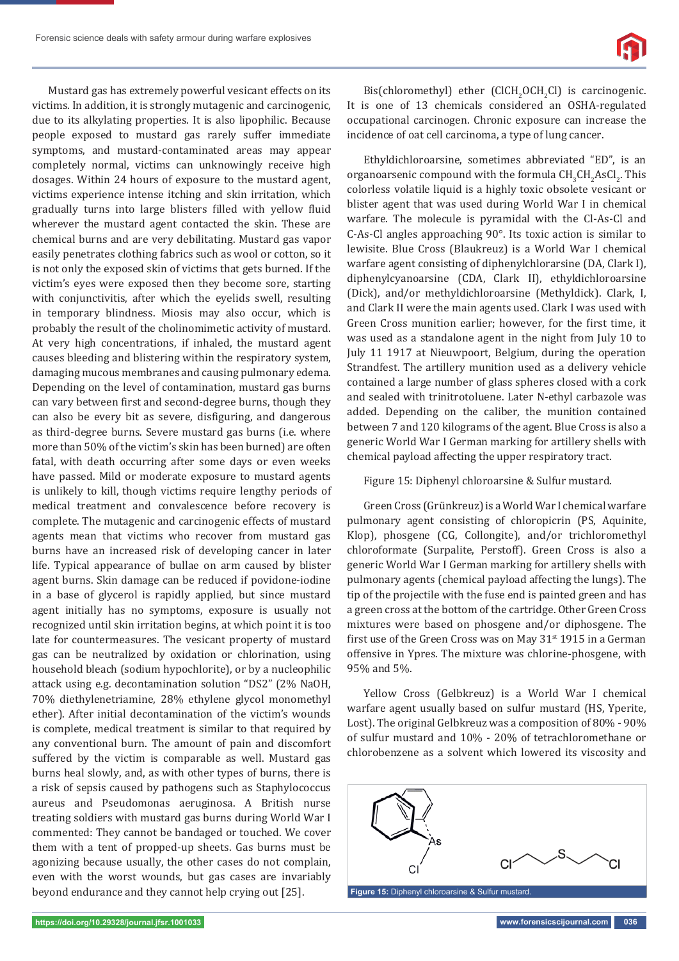Mustard gas has extremely powerful vesicant effects on its victims. In addition, it is strongly mutagenic and carcinogenic, due to its alkylating properties. It is also lipophilic. Because people exposed to mustard gas rarely suffer immediate symptoms, and mustard-contaminated areas may appear completely normal, victims can unknowingly receive high dosages. Within 24 hours of exposure to the mustard agent, victims experience intense itching and skin irritation, which gradually turns into large blisters filled with yellow fluid wherever the mustard agent contacted the skin. These are chemical burns and are very debilitating. Mustard gas vapor easily penetrates clothing fabrics such as wool or cotton, so it is not only the exposed skin of victims that gets burned. If the victim's eyes were exposed then they become sore, starting with conjunctivitis, after which the eyelids swell, resulting in temporary blindness. Miosis may also occur, which is probably the result of the cholinomimetic activity of mustard. At very high concentrations, if inhaled, the mustard agent causes bleeding and blistering within the respiratory system, damaging mucous membranes and causing pulmonary edema. Depending on the level of contamination, mustard gas burns can vary between first and second-degree burns, though they can also be every bit as severe, disfiguring, and dangerous as third-degree burns. Severe mustard gas burns (i.e. where more than 50% of the victim's skin has been burned) are often fatal, with death occurring after some days or even weeks have passed. Mild or moderate exposure to mustard agents is unlikely to kill, though victims require lengthy periods of medical treatment and convalescence before recovery is complete. The mutagenic and carcinogenic effects of mustard agents mean that victims who recover from mustard gas burns have an increased risk of developing cancer in later life. Typical appearance of bullae on arm caused by blister agent burns. Skin damage can be reduced if povidone-iodine in a base of glycerol is rapidly applied, but since mustard agent initially has no symptoms, exposure is usually not recognized until skin irritation begins, at which point it is too late for countermeasures. The vesicant property of mustard gas can be neutralized by oxidation or chlorination, using household bleach (sodium hypochlorite), or by a nucleophilic attack using e.g. decontamination solution "DS2" (2% NaOH, 70% diethylenetriamine, 28% ethylene glycol monomethyl ether). After initial decontamination of the victim's wounds is complete, medical treatment is similar to that required by any conventional burn. The amount of pain and discomfort suffered by the victim is comparable as well. Mustard gas burns heal slowly, and, as with other types of burns, there is a risk of sepsis caused by pathogens such as Staphylococcus aureus and Pseudomonas aeruginosa. A British nurse treating soldiers with mustard gas burns during World War I commented: They cannot be bandaged or touched. We cover them with a tent of propped-up sheets. Gas burns must be agonizing because usually, the other cases do not complain, even with the worst wounds, but gas cases are invariably beyond endurance and they cannot help crying out [25].

Bis(chloromethyl) ether (ClCH<sub>2</sub>OCH<sub>2</sub>Cl) is carcinogenic. It is one of 13 chemicals considered an OSHA-regulated occupational carcinogen. Chronic exposure can increase the incidence of oat cell carcinoma, a type of lung cancer.

Ethyldichloroarsine, sometimes abbreviated "ED", is an organoarsenic compound with the formula  $\mathrm{CH}_3\mathrm{CH}_2\mathrm{AsCl}_2$ . This colorless volatile liquid is a highly toxic obsolete vesicant or blister agent that was used during World War I in chemical warfare. The molecule is pyramidal with the Cl-As-Cl and C-As-Cl angles approaching 90°. Its toxic action is similar to lewisite. Blue Cross (Blaukreuz) is a World War I chemical warfare agent consisting of diphenylchlorarsine (DA, Clark I), diphenylcyanoarsine (CDA, Clark II), ethyldichloroarsine (Dick), and/or methyldichloroarsine (Methyldick). Clark, I, and Clark II were the main agents used. Clark I was used with Green Cross munition earlier; however, for the first time, it was used as a standalone agent in the night from July 10 to July 11 1917 at Nieuwpoort, Belgium, during the operation Strandfest. The artillery munition used as a delivery vehicle contained a large number of glass spheres closed with a cork and sealed with trinitrotoluene. Later N-ethyl carbazole was added. Depending on the caliber, the munition contained between 7 and 120 kilograms of the agent. Blue Cross is also a generic World War I German marking for artillery shells with chemical payload affecting the upper respiratory tract.

Figure 15: Diphenyl chloroarsine & Sulfur mustard.

Green Cross (Grünkreuz) is a World War I chemical warfare pulmonary agent consisting of chloropicrin (PS, Aquinite, Klop), phosgene (CG, Collongite), and/or trichloromethyl chloroformate (Surpalite, Perstoff). Green Cross is also a generic World War I German marking for artillery shells with pulmonary agents (chemical payload affecting the lungs). The tip of the projectile with the fuse end is painted green and has a green cross at the bottom of the cartridge. Other Green Cross mixtures were based on phosgene and/or diphosgene. The first use of the Green Cross was on May  $31^{st}$  1915 in a German offensive in Ypres. The mixture was chlorine-phosgene, with 95% and 5%.

Yellow Cross (Gelbkreuz) is a World War I chemical warfare agent usually based on sulfur mustard (HS, Yperite, Lost). The original Gelbkreuz was a composition of 80% - 90% of sulfur mustard and 10% - 20% of tetrachloromethane or chlorobenzene as a solvent which lowered its viscosity and



**Figure 15:** Diphenyl chloroarsine & Sulfur mustard.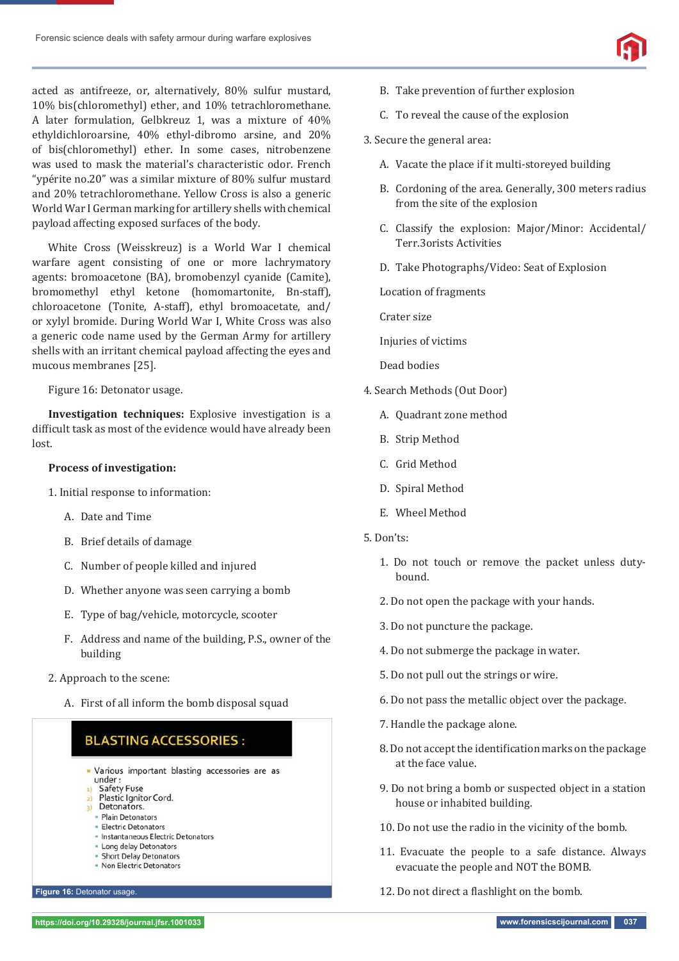acted as antifreeze, or, alternatively, 80% sulfur mustard, 10% bis(chloromethyl) ether, and 10% tetrachloromethane. A later formulation, Gelbkreuz 1, was a mixture of 40% ethyldichloroarsine, 40% ethyl-dibromo arsine, and 20% of bis(chloromethyl) ether. In some cases, nitrobenzene was used to mask the material's characteristic odor. French "ypérite no.20" was a similar mixture of 80% sulfur mustard and 20% tetrachloromethane. Yellow Cross is also a generic World War I German marking for artillery shells with chemical payload affecting exposed surfaces of the body.

White Cross (Weisskreuz) is a World War I chemical warfare agent consisting of one or more lachrymatory agents: bromoacetone (BA), bromobenzyl cyanide (Camite), bromomethyl ethyl ketone (homomartonite, Bn-staff), chloroacetone (Tonite, A-staff), ethyl bromoacetate, and/ or xylyl bromide. During World War I, White Cross was also a generic code name used by the German Army for artillery shells with an irritant chemical payload affecting the eyes and mucous membranes [25].

Figure 16: Detonator usage.

**Investigation techniques:** Explosive investigation is a difficult task as most of the evidence would have already been lost.

### **Process of investigation:**

1. Initial response to information:

- A. Date and Time
- B. Brief details of damage
- C. Number of people killed and injured
- D. Whether anyone was seen carrying a bomb
- E. Type of bag/vehicle, motorcycle, scooter
- F. Address and name of the building, P.S., owner of the building
- 2. Approach to the scene:
	- A. First of all inform the bomb disposal squad

# **BLASTING ACCESSORIES:**

- Various important blasting accessories are as under:
- **Safety Fuse**
- 2) Plastic Ignitor Cord. Detonators.
- · Plain Detonators
- · Electric Detonators
- · Instantaneous Electric Detonators
- · Long delay Detonators
- 
- · Short Delay Detonators
	- · Non Electric Detonators
- 3. Secure the general area:
	- A. Vacate the place if it multi-storeyed building

B. Take prevention of further explosion

- B. Cordoning of the area. Generally, 300 meters radius from the site of the explosion
- C. Classify the explosion: Major/Minor: Accidental/ Terr.3orists Activities
- D. Take Photographs/Video: Seat of Explosion

Location of fragments

Crater size

Injuries of victims

Dead bodies

- 4. Search Methods (Out Door)
	- A. Quadrant zone method
	- B. Strip Method
	- C. Grid Method
	- D. Spiral Method
	- E. Wheel Method
- 5. Don'ts:
	- 1. Do not touch or remove the packet unless dutybound.
	- 2. Do not open the package with your hands.
	- 3. Do not puncture the package.
	- 4. Do not submerge the package in water.
	- 5. Do not pull out the strings or wire.
	- 6. Do not pass the metallic object over the package.
	- 7. Handle the package alone.
	- 8. Do not accept the identification marks on the package at the face value.
	- 9. Do not bring a bomb or suspected object in a station house or inhabited building.
	- 10. Do not use the radio in the vicinity of the bomb.
	- 11. Evacuate the people to a safe distance. Always evacuate the people and NOT the BOMB.
- **Figure 16:** Detonator usage. 12. Do not direct a flashlight on the bomb.



C. To reveal the cause of the explosion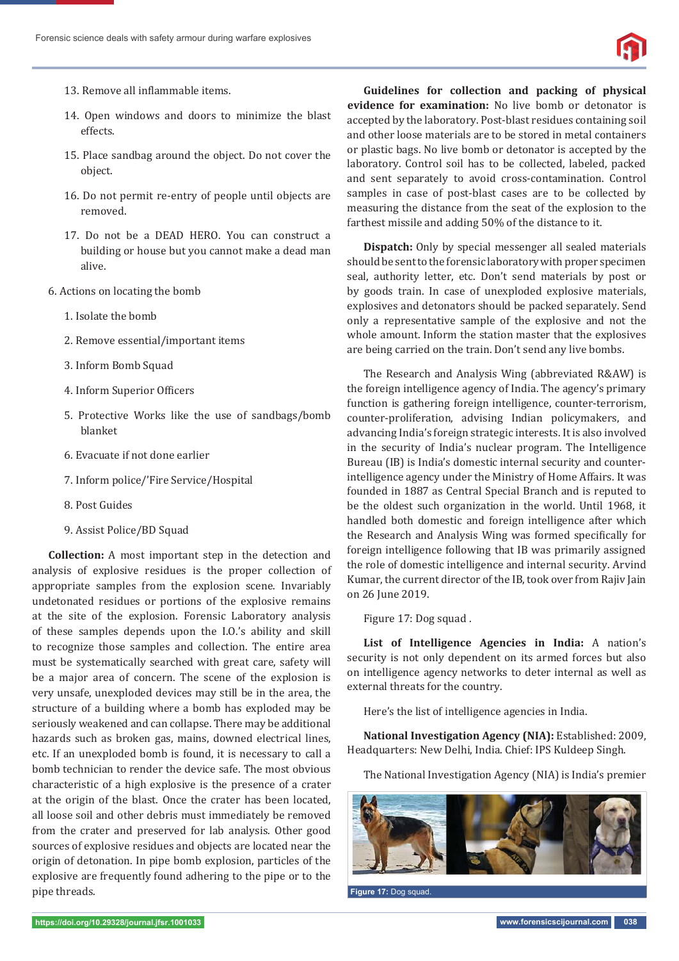

- 13. Remove all inflammable items.
- 14. Open windows and doors to minimize the blast effects.
- 15. Place sandbag around the object. Do not cover the object.
- 16. Do not permit re-entry of people until objects are removed.
- 17. Do not be a DEAD HERO. You can construct a building or house but you cannot make a dead man alive.
- 6. Actions on locating the bomb
	- 1. Isolate the bomb
	- 2. Remove essential/important items
	- 3. Inform Bomb Squad
	- 4. Inform Superior Officers
	- 5. Protective Works like the use of sandbags/bomb blanket
	- 6. Evacuate if not done earlier
	- 7. Inform police/'Fire Service/Hospital
	- 8. Post Guides
	- 9. Assist Police/BD Squad

**Collection:** A most important step in the detection and analysis of explosive residues is the proper collection of appropriate samples from the explosion scene. Invariably undetonated residues or portions of the explosive remains at the site of the explosion. Forensic Laboratory analysis of these samples depends upon the I.O.'s ability and skill to recognize those samples and collection. The entire area must be systematically searched with great care, safety will be a major area of concern. The scene of the explosion is very unsafe, unexploded devices may still be in the area, the structure of a building where a bomb has exploded may be seriously weakened and can collapse. There may be additional hazards such as broken gas, mains, downed electrical lines, etc. If an unexploded bomb is found, it is necessary to call a bomb technician to render the device safe. The most obvious characteristic of a high explosive is the presence of a crater at the origin of the blast. Once the crater has been located, all loose soil and other debris must immediately be removed from the crater and preserved for lab analysis. Other good sources of explosive residues and objects are located near the origin of detonation. In pipe bomb explosion, particles of the explosive are frequently found adhering to the pipe or to the pipe threads.

**Guidelines for collection and packing of physical evidence for examination:** No live bomb or detonator is accepted by the laboratory. Post-blast residues containing soil and other loose materials are to be stored in metal containers or plastic bags. No live bomb or detonator is accepted by the laboratory. Control soil has to be collected, labeled, packed and sent separately to avoid cross-contamination. Control samples in case of post-blast cases are to be collected by measuring the distance from the seat of the explosion to the farthest missile and adding 50% of the distance to it.

**Dispatch:** Only by special messenger all sealed materials should be sent to the forensic laboratory with proper specimen seal, authority letter, etc. Don't send materials by post or by goods train. In case of unexploded explosive materials, explosives and detonators should be packed separately. Send only a representative sample of the explosive and not the whole amount. Inform the station master that the explosives are being carried on the train. Don't send any live bombs.

The Research and Analysis Wing (abbreviated R&AW) is the foreign intelligence agency of India. The agency's primary function is gathering foreign intelligence, counter-terrorism, counter-proliferation, advising Indian policymakers, and advancing India's foreign strategic interests. It is also involved in the security of India's nuclear program. The Intelligence Bureau (IB) is India's domestic internal security and counterintelligence agency under the Ministry of Home Affairs. It was founded in 1887 as Central Special Branch and is reputed to be the oldest such organization in the world. Until 1968, it handled both domestic and foreign intelligence after which the Research and Analysis Wing was formed specifically for foreign intelligence following that IB was primarily assigned the role of domestic intelligence and internal security. Arvind Kumar, the current director of the IB, took over from Rajiv Jain on 26 June 2019.

Figure 17: Dog squad .

**List of Intelligence Agencies in India:** A nation's security is not only dependent on its armed forces but also on intelligence agency networks to deter internal as well as external threats for the country.

Here's the list of intelligence agencies in India.

**National Investigation Agency (NIA):** Established: 2009, Headquarters: New Delhi, India. Chief: IPS Kuldeep Singh.

The National Investigation Agency (NIA) is India's premier



**Figure 17:** Dog squad.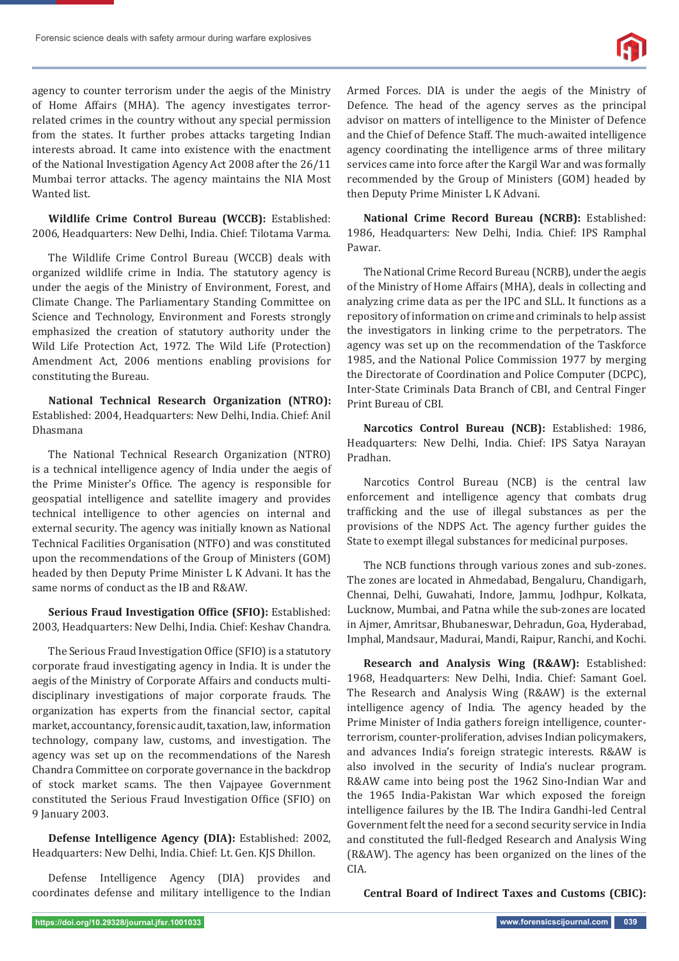agency to counter terrorism under the aegis of the Ministry of Home Affairs (MHA). The agency investigates terrorrelated crimes in the country without any special permission from the states. It further probes attacks targeting Indian interests abroad. It came into existence with the enactment of the National Investigation Agency Act 2008 after the 26/11 Mumbai terror attacks. The agency maintains the NIA Most Wanted list.

**Wildlife Crime Control Bureau (WCCB):** Established: 2006, Headquarters: New Delhi, India. Chief: Tilotama Varma.

The Wildlife Crime Control Bureau (WCCB) deals with organized wildlife crime in India. The statutory agency is under the aegis of the Ministry of Environment, Forest, and Climate Change. The Parliamentary Standing Committee on Science and Technology, Environment and Forests strongly emphasized the creation of statutory authority under the Wild Life Protection Act, 1972. The Wild Life (Protection) Amendment Act, 2006 mentions enabling provisions for constituting the Bureau.

**National Technical Research Organization (NTRO):** Established: 2004, Headquarters: New Delhi, India. Chief: Anil Dhasmana

The National Technical Research Organization (NTRO) is a technical intelligence agency of India under the aegis of the Prime Minister's Office. The agency is responsible for geospatial intelligence and satellite imagery and provides technical intelligence to other agencies on internal and external security. The agency was initially known as National Technical Facilities Organisation (NTFO) and was constituted upon the recommendations of the Group of Ministers (GOM) headed by then Deputy Prime Minister L K Advani. It has the same norms of conduct as the IB and R&AW.

**Serious Fraud Investigation Office (SFIO): Established:** 2003, Headquarters: New Delhi, India. Chief: Keshav Chandra.

The Serious Fraud Investigation Office (SFIO) is a statutory corporate fraud investigating agency in India. It is under the aegis of the Ministry of Corporate Affairs and conducts multidisciplinary investigations of major corporate frauds. The organization has experts from the financial sector, capital market, accountancy, forensic audit, taxation, law, information technology, company law, customs, and investigation. The agency was set up on the recommendations of the Naresh Chandra Committee on corporate governance in the backdrop of stock market scams. The then Vajpayee Government constituted the Serious Fraud Investigation Office (SFIO) on 9 January 2003.

**Defense Intelligence Agency (DIA):** Established: 2002, Headquarters: New Delhi, India. Chief: Lt. Gen. KJS Dhillon.

Defense Intelligence Agency (DIA) provides and coordinates defense and military intelligence to the Indian Armed Forces. DIA is under the aegis of the Ministry of Defence. The head of the agency serves as the principal advisor on matters of intelligence to the Minister of Defence and the Chief of Defence Staff. The much-awaited intelligence agency coordinating the intelligence arms of three military services came into force after the Kargil War and was formally recommended by the Group of Ministers (GOM) headed by then Deputy Prime Minister L K Advani.

**National Crime Record Bureau (NCRB):** Established: 1986, Headquarters: New Delhi, India. Chief: IPS Ramphal Pawar.

The National Crime Record Bureau (NCRB), under the aegis of the Ministry of Home Affairs (MHA), deals in collecting and analyzing crime data as per the IPC and SLL. It functions as a repository of information on crime and criminals to help assist the investigators in linking crime to the perpetrators. The agency was set up on the recommendation of the Taskforce 1985, and the National Police Commission 1977 by merging the Directorate of Coordination and Police Computer (DCPC), Inter-State Criminals Data Branch of CBI, and Central Finger Print Bureau of CBI.

**Narcotics Control Bureau (NCB):** Established: 1986, Headquarters: New Delhi, India. Chief: IPS Satya Narayan Pradhan.

Narcotics Control Bureau (NCB) is the central law enforcement and intelligence agency that combats drug trafficking and the use of illegal substances as per the provisions of the NDPS Act. The agency further guides the State to exempt illegal substances for medicinal purposes.

The NCB functions through various zones and sub-zones. The zones are located in Ahmedabad, Bengaluru, Chandigarh, Chennai, Delhi, Guwahati, Indore, Jammu, Jodhpur, Kolkata, Lucknow, Mumbai, and Patna while the sub-zones are located in Ajmer, Amritsar, Bhubaneswar, Dehradun, Goa, Hyderabad, Imphal, Mandsaur, Madurai, Mandi, Raipur, Ranchi, and Kochi.

**Research and Analysis Wing (R&AW):** Established: 1968, Headquarters: New Delhi, India. Chief: Samant Goel. The Research and Analysis Wing (R&AW) is the external intelligence agency of India. The agency headed by the Prime Minister of India gathers foreign intelligence, counterterrorism, counter-proliferation, advises Indian policymakers, and advances India's foreign strategic interests. R&AW is also involved in the security of India's nuclear program. R&AW came into being post the 1962 Sino-Indian War and the 1965 India-Pakistan War which exposed the foreign intelligence failures by the IB. The Indira Gandhi-led Central Government felt the need for a second security service in India and constituted the full-fledged Research and Analysis Wing (R&AW). The agency has been organized on the lines of the CIA.

**Central Board of Indirect Taxes and Customs (CBIC):**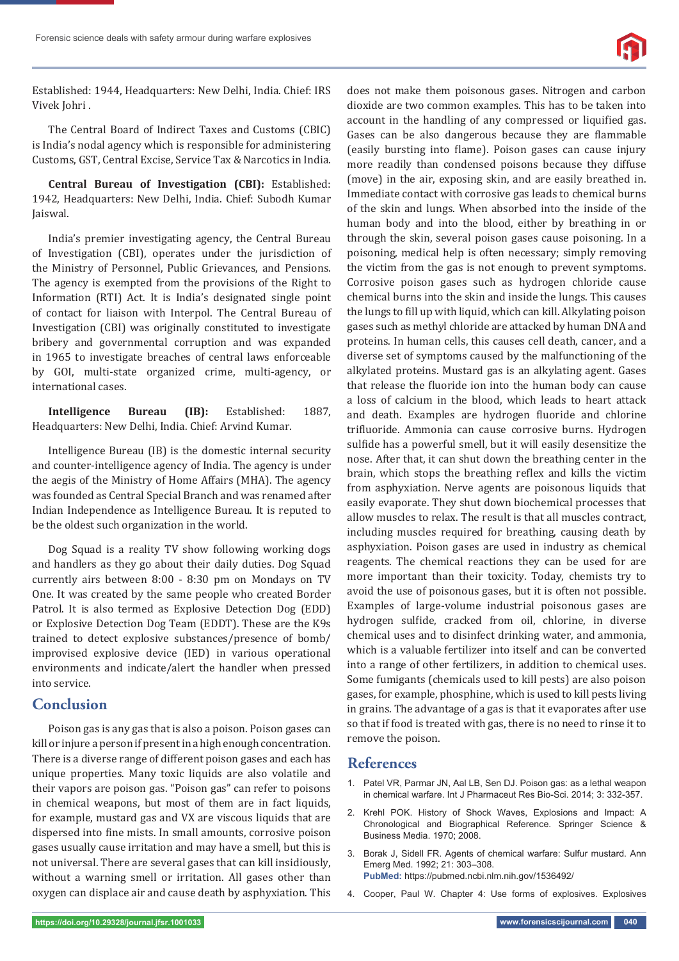

Established: 1944, Headquarters: New Delhi, India. Chief: IRS Vivek Johri .

The Central Board of Indirect Taxes and Customs (CBIC) is India's nodal agency which is responsible for administering Customs, GST, Central Excise, Service Tax & Narcotics in India.

**Central Bureau of Investigation (CBI):** Established: 1942, Headquarters: New Delhi, India. Chief: Subodh Kumar Jaiswal.

India's premier investigating agency, the Central Bureau of Investigation (CBI), operates under the jurisdiction of the Ministry of Personnel, Public Grievances, and Pensions. The agency is exempted from the provisions of the Right to Information (RTI) Act. It is India's designated single point of contact for liaison with Interpol. The Central Bureau of Investigation (CBI) was originally constituted to investigate bribery and governmental corruption and was expanded in 1965 to investigate breaches of central laws enforceable by GOI, multi-state organized crime, multi-agency, or international cases.

**Intelligence Bureau (IB):** Established: 1887, Headquarters: New Delhi, India. Chief: Arvind Kumar.

Intelligence Bureau (IB) is the domestic internal security and counter-intelligence agency of India. The agency is under the aegis of the Ministry of Home Affairs (MHA). The agency was founded as Central Special Branch and was renamed after Indian Independence as Intelligence Bureau. It is reputed to be the oldest such organization in the world.

Dog Squad is a reality TV show following working dogs and handlers as they go about their daily duties. Dog Squad currently airs between 8:00 - 8:30 pm on Mondays on TV One. It was created by the same people who created Border Patrol. It is also termed as Explosive Detection Dog (EDD) or Explosive Detection Dog Team (EDDT). These are the K9s trained to detect explosive substances/presence of bomb/ improvised explosive device (IED) in various operational environments and indicate/alert the handler when pressed into service.

### **Conclusion**

Poison gas is any gas that is also a poison. Poison gases can kill or injure a person if present in a high enough concentration. There is a diverse range of different poison gases and each has unique properties. Many toxic liquids are also volatile and their vapors are poison gas. "Poison gas" can refer to poisons in chemical weapons, but most of them are in fact liquids, for example, mustard gas and VX are viscous liquids that are dispersed into fine mists. In small amounts, corrosive poison gases usually cause irritation and may have a smell, but this is not universal. There are several gases that can kill insidiously, without a warning smell or irritation. All gases other than oxygen can displace air and cause death by asphyxiation. This

does not make them poisonous gases. Nitrogen and carbon dioxide are two common examples. This has to be taken into account in the handling of any compressed or liquified gas. Gases can be also dangerous because they are flammable (easily bursting into flame). Poison gases can cause injury more readily than condensed poisons because they diffuse (move) in the air, exposing skin, and are easily breathed in. Immediate contact with corrosive gas leads to chemical burns of the skin and lungs. When absorbed into the inside of the human body and into the blood, either by breathing in or through the skin, several poison gases cause poisoning. In a poisoning, medical help is often necessary; simply removing the victim from the gas is not enough to prevent symptoms. Corrosive poison gases such as hydrogen chloride cause chemical burns into the skin and inside the lungs. This causes the lungs to fill up with liquid, which can kill. Alkylating poison gases such as methyl chloride are attacked by human DNA and proteins. In human cells, this causes cell death, cancer, and a diverse set of symptoms caused by the malfunctioning of the alkylated proteins. Mustard gas is an alkylating agent. Gases that release the fluoride ion into the human body can cause a loss of calcium in the blood, which leads to heart attack and death. Examples are hydrogen fluoride and chlorine trifluoride. Ammonia can cause corrosive burns. Hydrogen sulfide has a powerful smell, but it will easily desensitize the nose. After that, it can shut down the breathing center in the brain, which stops the breathing reflex and kills the victim from asphyxiation. Nerve agents are poisonous liquids that easily evaporate. They shut down biochemical processes that allow muscles to relax. The result is that all muscles contract, including muscles required for breathing, causing death by asphyxiation. Poison gases are used in industry as chemical reagents. The chemical reactions they can be used for are more important than their toxicity. Today, chemists try to avoid the use of poisonous gases, but it is often not possible. Examples of large-volume industrial poisonous gases are hydrogen sulfide, cracked from oil, chlorine, in diverse chemical uses and to disinfect drinking water, and ammonia, which is a valuable fertilizer into itself and can be converted into a range of other fertilizers, in addition to chemical uses. Some fumigants (chemicals used to kill pests) are also poison gases, for example, phosphine, which is used to kill pests living in grains. The advantage of a gas is that it evaporates after use so that if food is treated with gas, there is no need to rinse it to remove the poison.

### **References**

- 1. Patel VR, Parmar JN, Aal LB, Sen DJ. Poison gas: as a lethal weapon in chemical warfare. Int J Pharmaceut Res Bio-Sci. 2014; 3: 332-357.
- 2. Krehl POK. History of Shock Waves, Explosions and Impact: A Chronological and Biographical Reference. Springer Science & Business Media. 1970; 2008.
- 3. Borak J, Sidell FR. Agents of chemical warfare: Sulfur mustard. Ann Emerg Med. 1992; 21: 303–308. **PubMed:** https://pubmed.ncbi.nlm.nih.gov/1536492/
- 4. Cooper, Paul W. Chapter 4: Use forms of explosives. Explosives